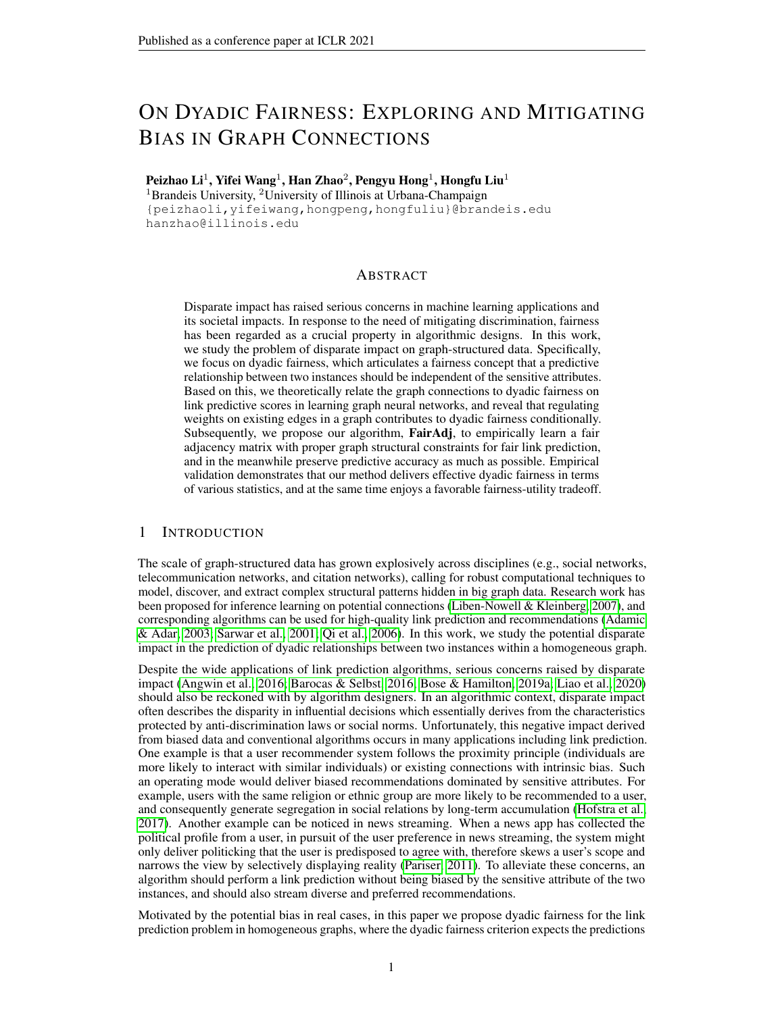# ON DYADIC FAIRNESS: EXPLORING AND MITIGATING BIAS IN GRAPH CONNECTIONS

Peizhao Li $^1$ , Yifei Wang $^1$ , Han Zhao $^2$ , Pengyu Hong $^1$ , Hongfu Liu $^1$ 

<sup>1</sup>Brandeis University, <sup>2</sup>University of Illinois at Urbana-Champaign {peizhaoli,yifeiwang,hongpeng,hongfuliu}@brandeis.edu hanzhao@illinois.edu

### ABSTRACT

Disparate impact has raised serious concerns in machine learning applications and its societal impacts. In response to the need of mitigating discrimination, fairness has been regarded as a crucial property in algorithmic designs. In this work, we study the problem of disparate impact on graph-structured data. Specifically, we focus on dyadic fairness, which articulates a fairness concept that a predictive relationship between two instances should be independent of the sensitive attributes. Based on this, we theoretically relate the graph connections to dyadic fairness on link predictive scores in learning graph neural networks, and reveal that regulating weights on existing edges in a graph contributes to dyadic fairness conditionally. Subsequently, we propose our algorithm, FairAdj, to empirically learn a fair adjacency matrix with proper graph structural constraints for fair link prediction, and in the meanwhile preserve predictive accuracy as much as possible. Empirical validation demonstrates that our method delivers effective dyadic fairness in terms of various statistics, and at the same time enjoys a favorable fairness-utility tradeoff.

### 1 INTRODUCTION

The scale of graph-structured data has grown explosively across disciplines (e.g., social networks, telecommunication networks, and citation networks), calling for robust computational techniques to model, discover, and extract complex structural patterns hidden in big graph data. Research work has been proposed for inference learning on potential connections [\(Liben-Nowell & Kleinberg, 2007\)](#page-10-0), and corresponding algorithms can be used for high-quality link prediction and recommendations [\(Adamic](#page-9-0) [& Adar, 2003;](#page-9-0) [Sarwar et al., 2001;](#page-10-1) [Qi et al., 2006\)](#page-10-2). In this work, we study the potential disparate impact in the prediction of dyadic relationships between two instances within a homogeneous graph.

Despite the wide applications of link prediction algorithms, serious concerns raised by disparate impact [\(Angwin et al., 2016;](#page-9-1) [Barocas & Selbst, 2016;](#page-9-2) [Bose & Hamilton, 2019a;](#page-9-3) [Liao et al., 2020\)](#page-10-3) should also be reckoned with by algorithm designers. In an algorithmic context, disparate impact often describes the disparity in influential decisions which essentially derives from the characteristics protected by anti-discrimination laws or social norms. Unfortunately, this negative impact derived from biased data and conventional algorithms occurs in many applications including link prediction. One example is that a user recommender system follows the proximity principle (individuals are more likely to interact with similar individuals) or existing connections with intrinsic bias. Such an operating mode would deliver biased recommendations dominated by sensitive attributes. For example, users with the same religion or ethnic group are more likely to be recommended to a user, and consequently generate segregation in social relations by long-term accumulation [\(Hofstra et al.,](#page-9-4) [2017\)](#page-9-4). Another example can be noticed in news streaming. When a news app has collected the political profile from a user, in pursuit of the user preference in news streaming, the system might only deliver politicking that the user is predisposed to agree with, therefore skews a user's scope and narrows the view by selectively displaying reality [\(Pariser, 2011\)](#page-10-4). To alleviate these concerns, an algorithm should perform a link prediction without being biased by the sensitive attribute of the two instances, and should also stream diverse and preferred recommendations.

Motivated by the potential bias in real cases, in this paper we propose dyadic fairness for the link prediction problem in homogeneous graphs, where the dyadic fairness criterion expects the predictions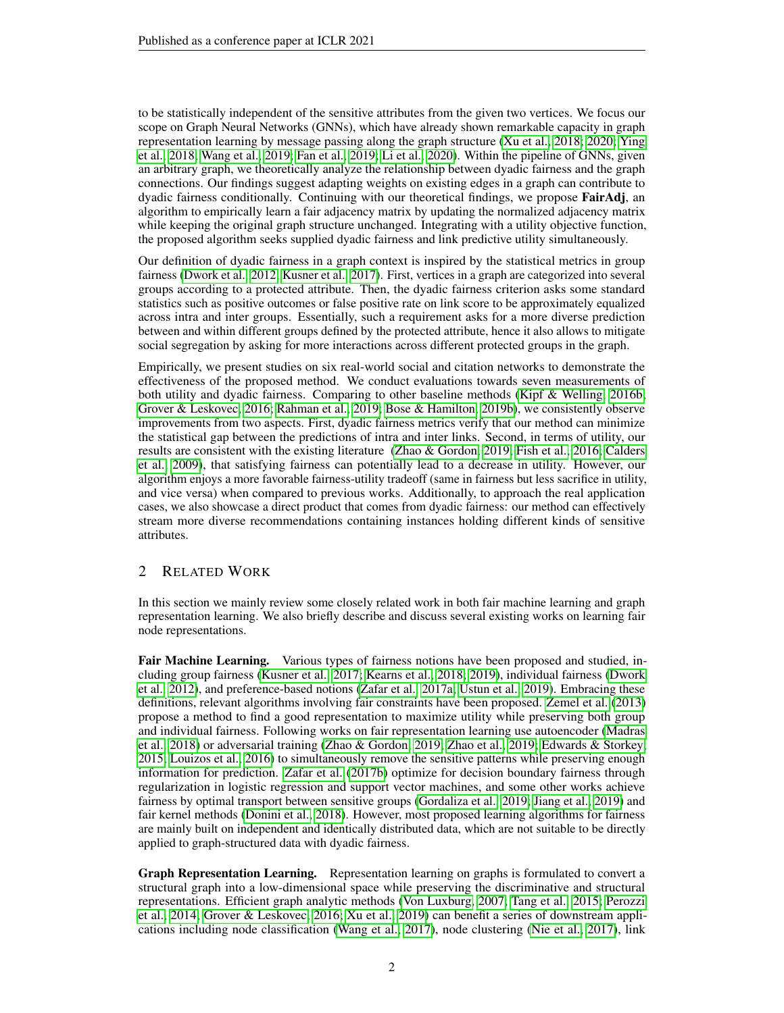to be statistically independent of the sensitive attributes from the given two vertices. We focus our scope on Graph Neural Networks (GNNs), which have already shown remarkable capacity in graph representation learning by message passing along the graph structure [\(Xu et al., 2018;](#page-11-0) [2020;](#page-11-1) [Ying](#page-11-2) [et al., 2018;](#page-11-2) [Wang et al., 2019;](#page-11-3) [Fan et al., 2019;](#page-9-5) [Li et al., 2020\)](#page-10-5). Within the pipeline of GNNs, given an arbitrary graph, we theoretically analyze the relationship between dyadic fairness and the graph connections. Our findings suggest adapting weights on existing edges in a graph can contribute to dyadic fairness conditionally. Continuing with our theoretical findings, we propose FairAdj, an algorithm to empirically learn a fair adjacency matrix by updating the normalized adjacency matrix while keeping the original graph structure unchanged. Integrating with a utility objective function, the proposed algorithm seeks supplied dyadic fairness and link predictive utility simultaneously.

Our definition of dyadic fairness in a graph context is inspired by the statistical metrics in group fairness [\(Dwork et al., 2012;](#page-9-6) [Kusner et al., 2017\)](#page-10-6). First, vertices in a graph are categorized into several groups according to a protected attribute. Then, the dyadic fairness criterion asks some standard statistics such as positive outcomes or false positive rate on link score to be approximately equalized across intra and inter groups. Essentially, such a requirement asks for a more diverse prediction between and within different groups defined by the protected attribute, hence it also allows to mitigate social segregation by asking for more interactions across different protected groups in the graph.

Empirically, we present studies on six real-world social and citation networks to demonstrate the effectiveness of the proposed method. We conduct evaluations towards seven measurements of both utility and dyadic fairness. Comparing to other baseline methods [\(Kipf & Welling, 2016b;](#page-10-7) [Grover & Leskovec, 2016;](#page-9-7) [Rahman et al., 2019;](#page-10-8) [Bose & Hamilton, 2019b\)](#page-9-8), we consistently observe improvements from two aspects. First, dyadic fairness metrics verify that our method can minimize the statistical gap between the predictions of intra and inter links. Second, in terms of utility, our results are consistent with the existing literature [\(Zhao & Gordon, 2019;](#page-11-4) [Fish et al., 2016;](#page-9-9) [Calders](#page-9-10) [et al., 2009\)](#page-9-10), that satisfying fairness can potentially lead to a decrease in utility. However, our algorithm enjoys a more favorable fairness-utility tradeoff (same in fairness but less sacrifice in utility, and vice versa) when compared to previous works. Additionally, to approach the real application cases, we also showcase a direct product that comes from dyadic fairness: our method can effectively stream more diverse recommendations containing instances holding different kinds of sensitive attributes.

# 2 RELATED WORK

In this section we mainly review some closely related work in both fair machine learning and graph representation learning. We also briefly describe and discuss several existing works on learning fair node representations.

Fair Machine Learning. Various types of fairness notions have been proposed and studied, including group fairness [\(Kusner et al., 2017;](#page-10-6) [Kearns et al., 2018;](#page-10-9) [2019\)](#page-10-10), individual fairness [\(Dwork](#page-9-6) [et al., 2012\)](#page-9-6), and preference-based notions [\(Zafar et al., 2017a;](#page-11-5) [Ustun et al., 2019\)](#page-11-6). Embracing these definitions, relevant algorithms involving fair constraints have been proposed. [Zemel et al.](#page-11-7) [\(2013\)](#page-11-7) propose a method to find a good representation to maximize utility while preserving both group and individual fairness. Following works on fair representation learning use autoencoder [\(Madras](#page-10-11) [et al., 2018\)](#page-10-11) or adversarial training [\(Zhao & Gordon, 2019;](#page-11-4) [Zhao et al., 2019;](#page-11-8) [Edwards & Storkey,](#page-9-11) [2015;](#page-9-11) [Louizos et al., 2016\)](#page-10-12) to simultaneously remove the sensitive patterns while preserving enough information for prediction. [Zafar et al.](#page-11-9) [\(2017b\)](#page-11-9) optimize for decision boundary fairness through regularization in logistic regression and support vector machines, and some other works achieve fairness by optimal transport between sensitive groups [\(Gordaliza et al., 2019;](#page-9-12) [Jiang et al., 2019\)](#page-9-13) and fair kernel methods [\(Donini et al., 2018\)](#page-9-14). However, most proposed learning algorithms for fairness are mainly built on independent and identically distributed data, which are not suitable to be directly applied to graph-structured data with dyadic fairness.

Graph Representation Learning. Representation learning on graphs is formulated to convert a structural graph into a low-dimensional space while preserving the discriminative and structural representations. Efficient graph analytic methods [\(Von Luxburg, 2007;](#page-11-10) [Tang et al., 2015;](#page-10-13) [Perozzi](#page-10-14) [et al., 2014;](#page-10-14) [Grover & Leskovec, 2016;](#page-9-7) [Xu et al., 2019\)](#page-11-11) can benefit a series of downstream applications including node classification [\(Wang et al., 2017\)](#page-11-12), node clustering [\(Nie et al., 2017\)](#page-10-15), link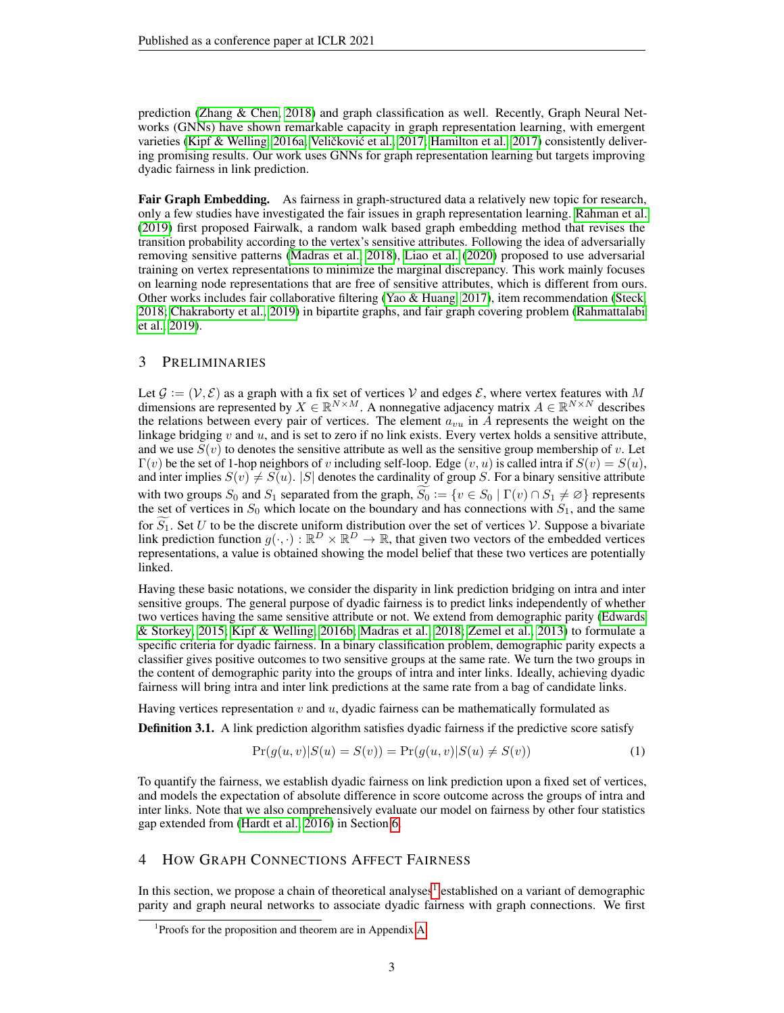prediction [\(Zhang & Chen, 2018\)](#page-11-13) and graph classification as well. Recently, Graph Neural Networks (GNNs) have shown remarkable capacity in graph representation learning, with emergent varieties [\(Kipf & Welling, 2016a;](#page-10-16) Veličković et al., [2017;](#page-11-14) [Hamilton et al., 2017\)](#page-9-15) consistently delivering promising results. Our work uses GNNs for graph representation learning but targets improving dyadic fairness in link prediction.

Fair Graph Embedding. As fairness in graph-structured data a relatively new topic for research, only a few studies have investigated the fair issues in graph representation learning. [Rahman et al.](#page-10-8) [\(2019\)](#page-10-8) first proposed Fairwalk, a random walk based graph embedding method that revises the transition probability according to the vertex's sensitive attributes. Following the idea of adversarially removing sensitive patterns [\(Madras et al., 2018\)](#page-10-11), [Liao et al.](#page-10-3) [\(2020\)](#page-10-3) proposed to use adversarial training on vertex representations to minimize the marginal discrepancy. This work mainly focuses on learning node representations that are free of sensitive attributes, which is different from ours. Other works includes fair collaborative filtering [\(Yao & Huang, 2017\)](#page-11-15), item recommendation [\(Steck,](#page-10-17) [2018;](#page-10-17) [Chakraborty et al., 2019\)](#page-9-16) in bipartite graphs, and fair graph covering problem [\(Rahmattalabi](#page-10-18) [et al., 2019\)](#page-10-18).

### 3 PRELIMINARIES

Let  $\mathcal{G} := (\mathcal{V}, \mathcal{E})$  as a graph with a fix set of vertices  $\mathcal{V}$  and edges  $\mathcal{E}$ , where vertex features with M dimensions are represented by  $X \in \mathbb{R}^{N \times M}$ . A nonnegative adjacency matrix  $A \in \mathbb{R}^{N \times N}$  describes the relations between every pair of vertices. The element  $a_{vu}$  in  $\tilde{A}$  represents the weight on the linkage bridging  $v$  and  $u$ , and is set to zero if no link exists. Every vertex holds a sensitive attribute, and we use  $S(v)$  to denotes the sensitive attribute as well as the sensitive group membership of v. Let  $\Gamma(v)$  be the set of 1-hop neighbors of v including self-loop. Edge  $(v, u)$  is called intra if  $S(v) = S(u)$ , and inter implies  $S(v) \neq S(u)$ . |S| denotes the cardinality of group S. For a binary sensitive attribute with two groups  $S_0$  and  $S_1$  separated from the graph,  $S_0 := \{v \in S_0 \mid \Gamma(v) \cap S_1 \neq \emptyset\}$  represents the set of vertices in  $S_0$  which locate on the boundary and has connections with  $S_1$ , and the same for  $S_1$ . Set U to be the discrete uniform distribution over the set of vertices V. Suppose a bivariate link prediction function  $g(\cdot, \cdot): \mathbb{R}^D \times \mathbb{R}^D \to \mathbb{R}$ , that given two vectors of the embedded vertices representations, a value is obtained showing the model belief that these two vertices are potentially linked.

Having these basic notations, we consider the disparity in link prediction bridging on intra and inter sensitive groups. The general purpose of dyadic fairness is to predict links independently of whether two vertices having the same sensitive attribute or not. We extend from demographic parity [\(Edwards](#page-9-11) [& Storkey, 2015;](#page-9-11) [Kipf & Welling, 2016b;](#page-10-7) [Madras et al., 2018;](#page-10-11) [Zemel et al., 2013\)](#page-11-7) to formulate a specific criteria for dyadic fairness. In a binary classification problem, demographic parity expects a classifier gives positive outcomes to two sensitive groups at the same rate. We turn the two groups in the content of demographic parity into the groups of intra and inter links. Ideally, achieving dyadic fairness will bring intra and inter link predictions at the same rate from a bag of candidate links.

Having vertices representation  $v$  and  $u$ , dyadic fairness can be mathematically formulated as

**Definition 3.1.** A link prediction algorithm satisfies dyadic fairness if the predictive score satisfy

$$
Pr(g(u, v)|S(u) = S(v)) = Pr(g(u, v)|S(u) \neq S(v))
$$
\n(1)

To quantify the fairness, we establish dyadic fairness on link prediction upon a fixed set of vertices, and models the expectation of absolute difference in score outcome across the groups of intra and inter links. Note that we also comprehensively evaluate our model on fairness by other four statistics gap extended from [\(Hardt et al., 2016\)](#page-9-17) in Section [6.](#page-6-0)

### <span id="page-2-1"></span>4 HOW GRAPH CONNECTIONS AFFECT FAIRNESS

In this section, we propose a chain of theoretical analyses<sup>[1](#page-2-0)</sup> established on a variant of demographic parity and graph neural networks to associate dyadic fairness with graph connections. We first

<span id="page-2-0"></span><sup>1</sup> Proofs for the proposition and theorem are in Appendix [A.](#page-12-0)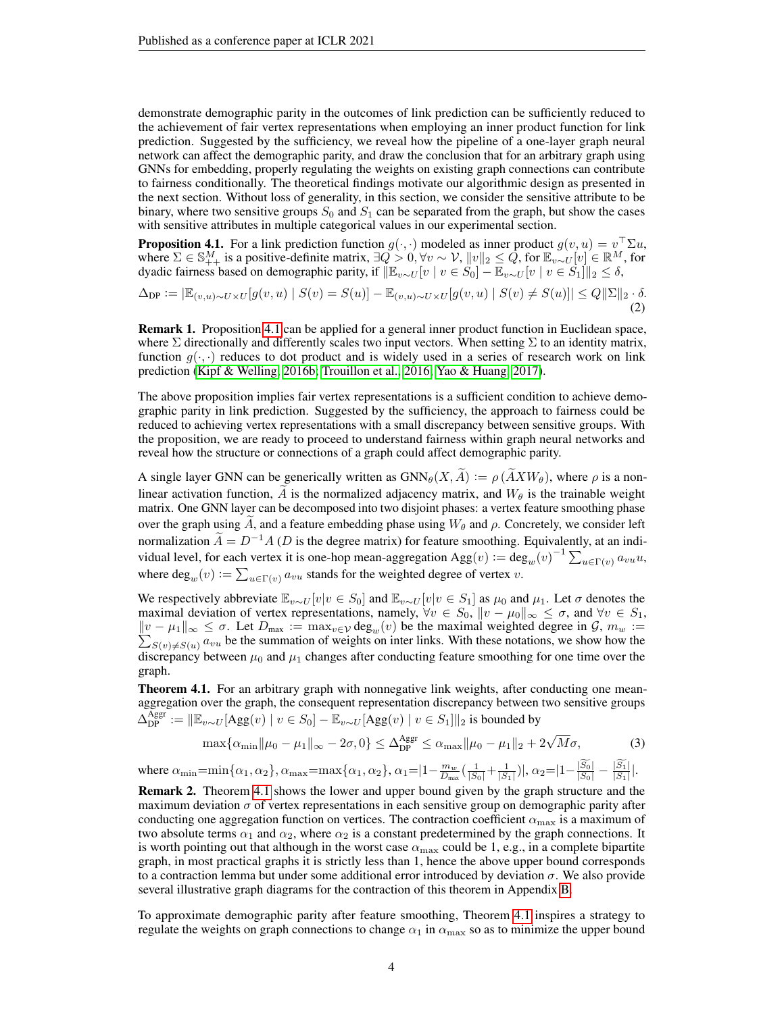demonstrate demographic parity in the outcomes of link prediction can be sufficiently reduced to the achievement of fair vertex representations when employing an inner product function for link prediction. Suggested by the sufficiency, we reveal how the pipeline of a one-layer graph neural network can affect the demographic parity, and draw the conclusion that for an arbitrary graph using GNNs for embedding, properly regulating the weights on existing graph connections can contribute to fairness conditionally. The theoretical findings motivate our algorithmic design as presented in the next section. Without loss of generality, in this section, we consider the sensitive attribute to be binary, where two sensitive groups  $S_0$  and  $S_1$  can be separated from the graph, but show the cases with sensitive attributes in multiple categorical values in our experimental section.

<span id="page-3-0"></span>**Proposition 4.1.** For a link prediction function  $g(\cdot, \cdot)$  modeled as inner product  $g(v, u) = v^{\top} \Sigma u$ , where  $\Sigma \in \mathbb{S}^M_{++}$  is a positive-definite matrix,  $\exists Q > 0, \forall v \sim \mathcal{V}$ ,  $||v||_2 \leq Q$ , for  $\mathbb{E}_{v \sim U}[v] \in \mathbb{R}^M$ , for dyadic fairness based on demographic parity, if  $\|\mathbb{E}_{v\sim U} [v \mid v \in S_0] - \mathbb{E}_{v\sim U} [v \mid v \in S_1]\|_2 \le \delta$ ,

$$
\Delta_{\text{DP}} := |\mathbb{E}_{(v,u)\sim U\times U}[g(v,u) \mid S(v) = S(u)] - \mathbb{E}_{(v,u)\sim U\times U}[g(v,u) \mid S(v) \neq S(u)]| \leq Q||\Sigma||_2 \cdot \delta. \tag{2}
$$

Remark 1. Proposition [4.1](#page-3-0) can be applied for a general inner product function in Euclidean space, where  $\Sigma$  directionally and differently scales two input vectors. When setting  $\Sigma$  to an identity matrix, function  $g(\cdot, \cdot)$  reduces to dot product and is widely used in a series of research work on link prediction [\(Kipf & Welling, 2016b;](#page-10-7) [Trouillon et al., 2016;](#page-11-16) [Yao & Huang, 2017\)](#page-11-15).

The above proposition implies fair vertex representations is a sufficient condition to achieve demographic parity in link prediction. Suggested by the sufficiency, the approach to fairness could be reduced to achieving vertex representations with a small discrepancy between sensitive groups. With the proposition, we are ready to proceed to understand fairness within graph neural networks and reveal how the structure or connections of a graph could affect demographic parity.

A single layer GNN can be generically written as  $GNN_{\theta}(X, \tilde{A}) := \rho(\tilde{A}XW_{\theta})$ , where  $\rho$  is a nonlinear activation function,  $\tilde{A}$  is the normalized adjacency matrix, and  $W_{\theta}$  is the trainable weight matrix. One GNN layer can be decomposed into two disjoint phases: a vertex feature smoothing phase over the graph using A, and a feature embedding phase using  $W_\theta$  and  $\rho$ . Concretely, we consider left normalization  $\tilde{A} = D^{-1}A$  (D is the degree matrix) for feature smoothing. Equivalently, at an individual level, for each vertex it is one-hop mean-aggregation  $\text{Agg}(v) := \text{deg}_{w}(v)^{-1} \sum_{u \in \Gamma(v)} a_{vu} u$ , where  $\text{deg}_{w}(v) := \sum_{u \in \Gamma(v)} a_{vu}$  stands for the weighted degree of vertex v.

We respectively abbreviate  $\mathbb{E}_{v\sim U}[v|v \in S_0]$  and  $\mathbb{E}_{v\sim U}[v|v \in S_1]$  as  $\mu_0$  and  $\mu_1$ . Let  $\sigma$  denotes the maximal deviation of vertex representations, namely,  $\forall v \in S_0$ ,  $\|v - \mu_0\|_{\infty} \leq \sigma$ , and  $\forall v \in S_1$ ,  $||v - \mu_1||_{\infty} \le \sigma$ . Let  $D_{\text{max}} := \max_{v \in \mathcal{V}} \text{deg}_w(v)$  be the maximal weighted degree in  $\mathcal{G}, m_w := \sum_{S(v) \neq S(u)} a_{vu}$  be the summation of weights on inter links. With these notations, we show how the discrepancy between  $\mu_0$  and  $\mu_1$  changes after conducting feature smoothing for one time over the graph.

<span id="page-3-1"></span>Theorem 4.1. For an arbitrary graph with nonnegative link weights, after conducting one meanaggregation over the graph, the consequent representation discrepancy between two sensitive groups  $\Delta_{\text{DP}}^{\text{Aggr}} := \|\mathbb{E}_{v \sim U}[\text{Agg}(v) \mid v \in S_0] - \mathbb{E}_{v \sim U}[\text{Agg}(v) \mid v \in S_1]\|_2$  is bounded by

$$
\max \{ \alpha_{\min} || \mu_0 - \mu_1 ||_{\infty} - 2\sigma, 0 \} \le \Delta_{\text{DP}}^{\text{Aggr}} \le \alpha_{\max} || \mu_0 - \mu_1 ||_2 + 2\sqrt{M}\sigma, \tag{3}
$$

where  $\alpha_{\min} = \min{\{\alpha_1, \alpha_2\}}$ ,  $\alpha_{\max} = \max{\{\alpha_1, \alpha_2\}}$ ,  $\alpha_1 = \left|1 - \frac{m_w}{D_{\max}}\left(\frac{1}{|S_0|} + \frac{1}{|S_1|}\right)\right|$ ,  $\alpha_2 = \left|1 - \frac{|S_0|}{|S_0|} - \frac{|S_1|}{|S_1|}\right|$ .

Remark 2. Theorem [4.1](#page-3-1) shows the lower and upper bound given by the graph structure and the maximum deviation  $\sigma$  of vertex representations in each sensitive group on demographic parity after conducting one aggregation function on vertices. The contraction coefficient  $\alpha_{\text{max}}$  is a maximum of two absolute terms  $\alpha_1$  and  $\alpha_2$ , where  $\alpha_2$  is a constant predetermined by the graph connections. It is worth pointing out that although in the worst case  $\alpha_{\text{max}}$  could be 1, e.g., in a complete bipartite graph, in most practical graphs it is strictly less than 1, hence the above upper bound corresponds to a contraction lemma but under some additional error introduced by deviation  $\sigma$ . We also provide several illustrative graph diagrams for the contraction of this theorem in Appendix [B.](#page-14-0)

To approximate demographic parity after feature smoothing, Theorem [4.1](#page-3-1) inspires a strategy to regulate the weights on graph connections to change  $\alpha_1$  in  $\alpha_{\text{max}}$  so as to minimize the upper bound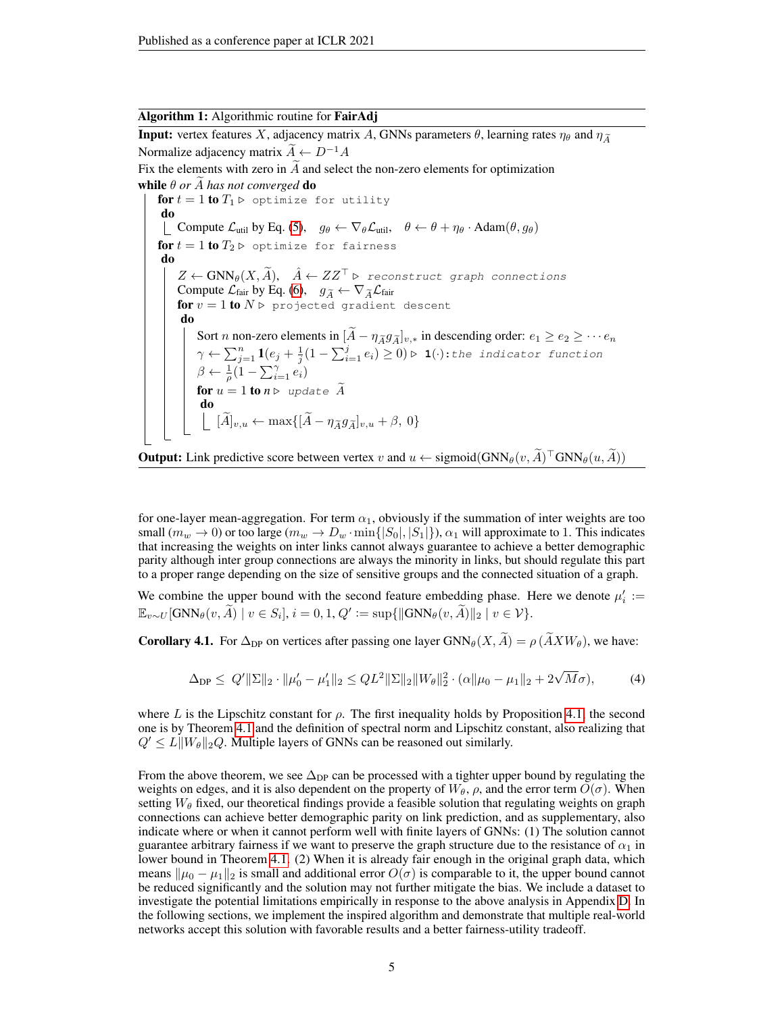#### Algorithm 1: Algorithmic routine for FairAdj

<span id="page-4-0"></span>**Input:** vertex features X, adjacency matrix A, GNNs parameters  $\theta$ , learning rates  $\eta_{\theta}$  and  $\eta_{\tilde{\Lambda}}$ Normalize adjacency matrix  $\widetilde{A} \leftarrow D^{-1}A$ Fix the elements with zero in  $\tilde{A}$  and select the non-zero elements for optimization while  $\theta$  *or A has not converged* do for  $t = 1$  to  $T_1 \triangleright$  optimize for utility do Compute  $\mathcal{L}_{util}$  by Eq. [\(5\)](#page-5-0),  $g_{\theta} \leftarrow \nabla_{\theta} \mathcal{L}_{util}$ ,  $\theta \leftarrow \theta + \eta_{\theta} \cdot \text{Adam}(\theta, g_{\theta})$ for  $t = 1$  to  $T_2 \triangleright$  optimize for fairness do  $Z \leftarrow \text{GNN}_{\theta}(X, \widetilde{A}), \quad \hat{A} \leftarrow ZZ^{\top} \triangleright \text{reconstruct graph connections}$ Compute  $\mathcal{L}_{\text{fair}}$  by Eq. [\(6\)](#page-5-1),  $g_{\widetilde{A}} \leftarrow \nabla_{\widetilde{A}} \mathcal{L}_{\text{fair}}$ for  $v = 1$  to  $N \triangleright$  projected gradient descent do Sort *n* non-zero elements in  $[A - \eta_{\widetilde{A}} g_{\widetilde{A}}]_{v,*}$  in descending order:  $e_1 \ge e_2 \ge \cdots e_n$  $\gamma \leftarrow \sum_{j=1}^n \mathbf{1}(e_j + \frac{1}{j}(1-\sum_{i=1}^j e_i) \geq 0) \triangleright \mathbf{1}(\cdot)$ :the indicator function  $\beta \leftarrow \frac{1}{\rho} (1 - \sum_{i=1}^{\gamma} e_i)$ for  $u = 1$  to  $n \triangleright$  update  $\widetilde{A}$ <br>do  $[A]_{v,u} \leftarrow \max\{[A-\eta_{\widetilde{A}}g_{\widetilde{A}}]_{v,u} + \beta, 0\}$ 

**Output:** Link predictive score between vertex 
$$
v
$$
 and  $u \leftarrow sigmoid(GNN_{\theta}(v, \widetilde{A})^{\top}GNN_{\theta}(u, \widetilde{A}))$ 

for one-layer mean-aggregation. For term  $\alpha_1$ , obviously if the summation of inter weights are too small  $(m_w \to 0)$  or too large  $(m_w \to D_w \cdot \min\{|S_0|, |S_1|\})$ ,  $\alpha_1$  will approximate to 1. This indicates that increasing the weights on inter links cannot always guarantee to achieve a better demographic parity although inter group connections are always the minority in links, but should regulate this part to a proper range depending on the size of sensitive groups and the connected situation of a graph.

We combine the upper bound with the second feature embedding phase. Here we denote  $\mu'_i$  :=  $\mathbb{E}_{v\sim U}[\text{GNN}_\theta(v, \widetilde{A}) \mid v \in S_i], i = 0, 1, Q' := \sup\{\|\text{GNN}_\theta(v, \widetilde{A})\|_2 \mid v \in V\}.$ 

<span id="page-4-1"></span>**Corollary 4.1.** For  $\Delta_{\text{DP}}$  on vertices after passing one layer  $GNN_{\theta}(X, \tilde{A}) = \rho(\tilde{A}XW_{\theta})$ , we have:

$$
\Delta_{\text{DP}} \leq Q' \|\Sigma\|_2 \cdot \|\mu_0' - \mu_1'\|_2 \leq QL^2 \|\Sigma\|_2 \|W_\theta\|_2^2 \cdot (\alpha \|\mu_0 - \mu_1\|_2 + 2\sqrt{M}\sigma),\tag{4}
$$

where L is the Lipschitz constant for  $\rho$ . The first inequality holds by Proposition [4.1,](#page-3-0) the second one is by Theorem [4.1](#page-3-1) and the definition of spectral norm and Lipschitz constant, also realizing that  $Q' \leq L \|W_{\theta}\|_2 Q$ . Multiple layers of GNNs can be reasoned out similarly.

From the above theorem, we see  $\Delta_{\text{DP}}$  can be processed with a tighter upper bound by regulating the weights on edges, and it is also dependent on the property of  $W_{\theta}$ ,  $\rho$ , and the error term  $O(\sigma)$ . When setting  $W_{\theta}$  fixed, our theoretical findings provide a feasible solution that regulating weights on graph connections can achieve better demographic parity on link prediction, and as supplementary, also indicate where or when it cannot perform well with finite layers of GNNs: (1) The solution cannot guarantee arbitrary fairness if we want to preserve the graph structure due to the resistance of  $\alpha_1$  in lower bound in Theorem [4.1.](#page-3-1) (2) When it is already fair enough in the original graph data, which means  $\|\mu_0 - \mu_1\|_2$  is small and additional error  $O(\sigma)$  is comparable to it, the upper bound cannot be reduced significantly and the solution may not further mitigate the bias. We include a dataset to investigate the potential limitations empirically in response to the above analysis in Appendix [D.](#page-15-0) In the following sections, we implement the inspired algorithm and demonstrate that multiple real-world networks accept this solution with favorable results and a better fairness-utility tradeoff.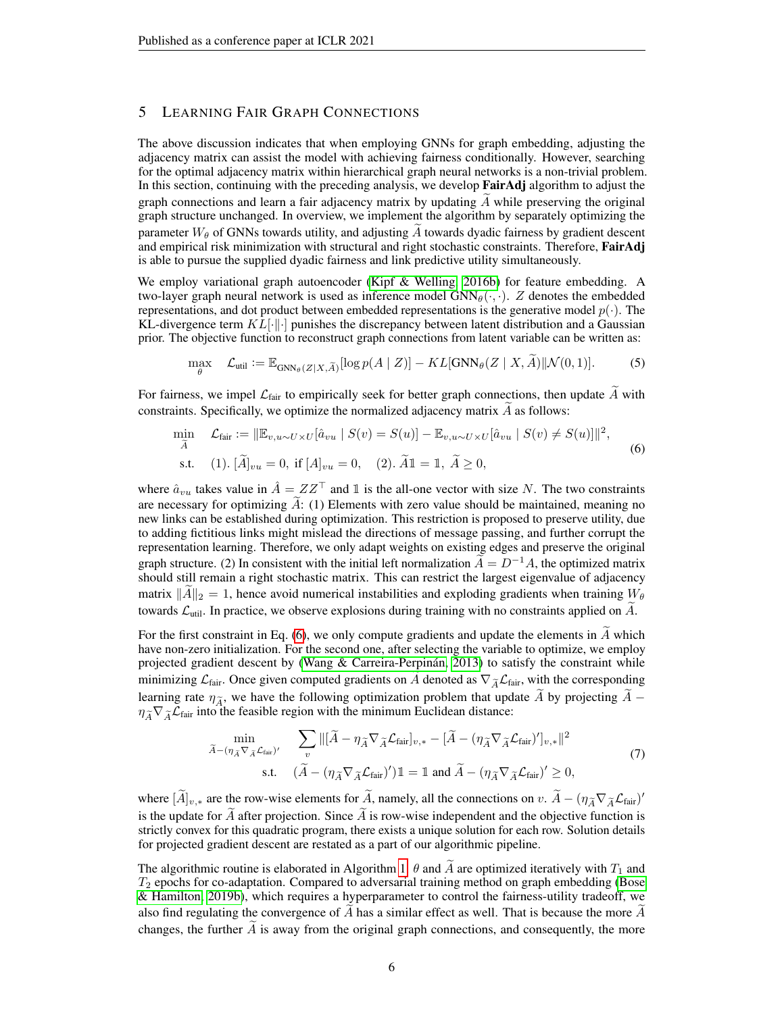# 5 LEARNING FAIR GRAPH CONNECTIONS

The above discussion indicates that when employing GNNs for graph embedding, adjusting the adjacency matrix can assist the model with achieving fairness conditionally. However, searching for the optimal adjacency matrix within hierarchical graph neural networks is a non-trivial problem. In this section, continuing with the preceding analysis, we develop FairAdj algorithm to adjust the graph connections and learn a fair adjacency matrix by updating  $A$  while preserving the original graph structure unchanged. In overview, we implement the algorithm by separately optimizing the parameter  $W_{\theta}$  of GNNs towards utility, and adjusting A towards dyadic fairness by gradient descent and empirical risk minimization with structural and right stochastic constraints. Therefore, FairAdj is able to pursue the supplied dyadic fairness and link predictive utility simultaneously.

We employ variational graph autoencoder [\(Kipf & Welling, 2016b\)](#page-10-7) for feature embedding. A two-layer graph neural network is used as inference model  $GNN_{\theta}(\cdot, \cdot)$ . Z denotes the embedded representations, and dot product between embedded representations is the generative model  $p(\cdot)$ . The KL-divergence term  $KL[\cdot|\cdot]$  punishes the discrepancy between latent distribution and a Gaussian prior. The objective function to reconstruct graph connections from latent variable can be written as:

<span id="page-5-1"></span><span id="page-5-0"></span>
$$
\max_{\theta} \quad \mathcal{L}_{\text{util}} := \mathbb{E}_{\text{GNN}_{\theta}(Z|X,\widetilde{A})}[\log p(A \mid Z)] - KL[\text{GNN}_{\theta}(Z \mid X, \widetilde{A}) || \mathcal{N}(0,1)]. \tag{5}
$$

For fairness, we impel  $\mathcal{L}_{\text{fair}}$  to empirically seek for better graph connections, then update  $\widetilde{A}$  with constraints. Specifically, we optimize the normalized adjacency matrix  $A$  as follows:

$$
\min_{\widetilde{A}} \quad \mathcal{L}_{\text{fair}} := \|\mathbb{E}_{v, u \sim U \times U}[\hat{a}_{vu} \mid S(v) = S(u)] - \mathbb{E}_{v, u \sim U \times U}[\hat{a}_{vu} \mid S(v) \neq S(u)]\|^{2},
$$
\n
$$
\text{s.t.} \quad (1). \ [\widetilde{A}]_{vu} = 0, \text{ if } [A]_{vu} = 0, \quad (2). \ \widetilde{A}\mathbb{1} = \mathbb{1}, \ \widetilde{A} \geq 0,
$$
\n
$$
(6)
$$

where  $\hat{a}_{vu}$  takes value in  $\hat{A} = ZZ^{\top}$  and 1 is the all-one vector with size N. The two constraints are necessary for optimizing  $\widetilde{A}$ : (1) Elements with zero value should be maintained, meaning no new links can be established during optimization. This restriction is proposed to preserve utility, due to adding fictitious links might mislead the directions of message passing, and further corrupt the representation learning. Therefore, we only adapt weights on existing edges and preserve the original graph structure. (2) In consistent with the initial left normalization  $\widetilde{A} = D^{-1}A$ , the optimized matrix should still remain a right stochastic matrix. This can restrict the largest eigenvalue of adjacency matrix  $||A||_2 = 1$ , hence avoid numerical instabilities and exploding gradients when training  $W_\theta$ towards  $\mathcal{L}_{util}$ . In practice, we observe explosions during training with no constraints applied on  $\widetilde{A}$ .

For the first constraint in Eq. [\(6\)](#page-5-1), we only compute gradients and update the elements in  $\tilde{A}$  which have non-zero initialization. For the second one, after selecting the variable to optimize, we employ projected gradient descent by [\(Wang & Carreira-Perpinán, 2013\)](#page-11-17) to satisfy the constraint while minimizing  $\mathcal{L}_{\text{fair}}$ . Once given computed gradients on A denoted as  $\nabla_{\widetilde{A}}\mathcal{L}_{\text{fair}}$ , with the corresponding learning rate  $\eta_{\widetilde{A}}$ , we have the following optimization problem that update  $\widetilde{A}$  by projecting  $\widetilde{A}$  −  $\eta_{\widetilde{A}}\nabla_{\widetilde{A}}\mathcal{L}_{\text{fair}}$  into the feasible region with the minimum Euclidean distance:

$$
\min_{\tilde{A} - (\eta_{\tilde{A}} \nabla_{\tilde{A}} \mathcal{L}_{\text{fair}})'} \quad \sum_{v} \| [\tilde{A} - \eta_{\tilde{A}} \nabla_{\tilde{A}} \mathcal{L}_{\text{fair}}]_{v,*} - [\tilde{A} - (\eta_{\tilde{A}} \nabla_{\tilde{A}} \mathcal{L}_{\text{fair}})']_{v,*} \|^{2}
$$
\n
$$
\text{s.t.} \quad (\tilde{A} - (\eta_{\tilde{A}} \nabla_{\tilde{A}} \mathcal{L}_{\text{fair}})') \mathbb{1} = \mathbb{1} \text{ and } \tilde{A} - (\eta_{\tilde{A}} \nabla_{\tilde{A}} \mathcal{L}_{\text{fair}})' \ge 0,
$$
\n
$$
(7)
$$

where  $[\widetilde{A}]_{v,*}$  are the row-wise elements for  $\widetilde{A}$ , namely, all the connections on  $v.$   $\widetilde{A} - (\eta_{\widetilde{A}} \nabla_{\widetilde{A}} \mathcal{L}_{\text{fair}})'$ is the update for  $\tilde{A}$  after projection. Since  $\tilde{A}$  is row-wise independent and the objective function is strictly convex for this quadratic program, there exists a unique solution for each row. Solution details for projected gradient descent are restated as a part of our algorithmic pipeline.

The algorithmic routine is elaborated in Algorithm [1.](#page-4-0)  $\theta$  and  $\hat{A}$  are optimized iteratively with  $T_1$  and  $T_2$  epochs for co-adaptation. Compared to adversarial training method on graph embedding [\(Bose](#page-9-8) [& Hamilton, 2019b\)](#page-9-8), which requires a hyperparameter to control the fairness-utility tradeoff, we also find regulating the convergence of  $A$  has a similar effect as well. That is because the more  $A$ changes, the further  $A$  is away from the original graph connections, and consequently, the more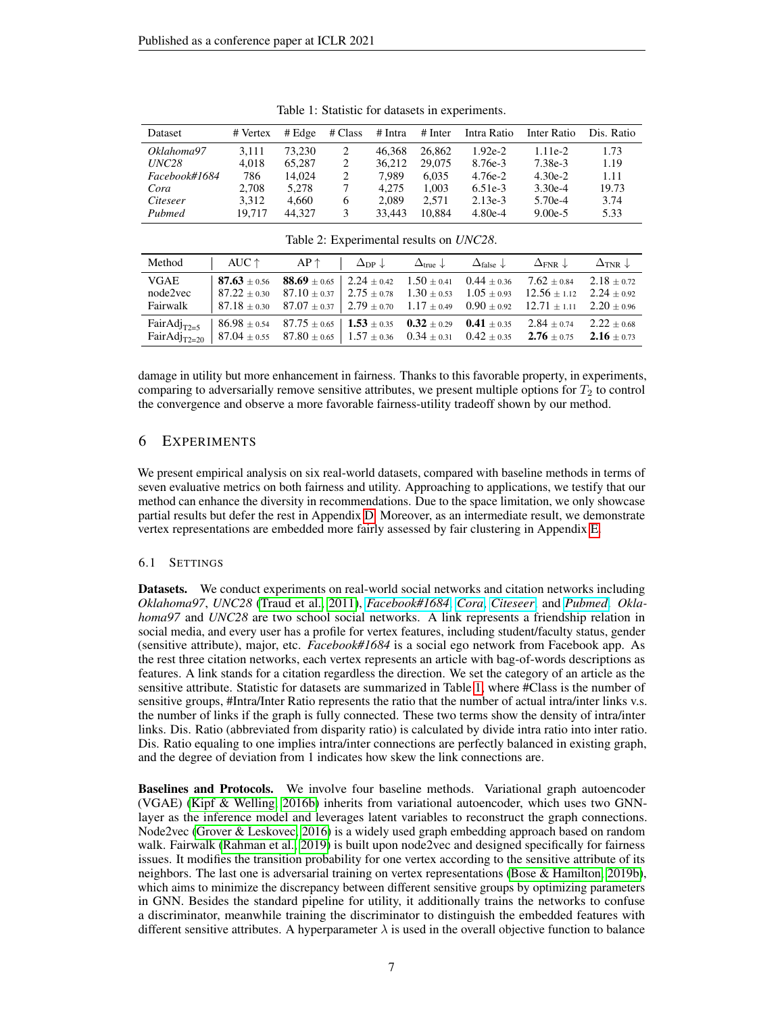<span id="page-6-1"></span>

| Dataset           | # Vertex | # Edge | # Class      | # Intra | $#$ Inter | Intra Ratio | Inter Ratio | Dis. Ratio |
|-------------------|----------|--------|--------------|---------|-----------|-------------|-------------|------------|
| Oklahoma97        | 3.111    | 73.230 | 2            | 46.368  | 26,862    | $1.92e-2$   | $1.11e-2$   | 1.73       |
| UNC <sub>28</sub> | 4.018    | 65,287 | 2            | 36.212  | 29,075    | 8.76e-3     | 7.38e-3     | 1.19       |
| Facebook#1684     | 786      | 14.024 | 2            | 7.989   | 6.035     | $4.76e-2$   | $4.30e-2$   | 1.11       |
| Cora              | 2.708    | 5.278  |              | 4.275   | 1.003     | $6.51e-3$   | $3.30e-4$   | 19.73      |
| Citeseer          | 3.312    | 4.660  | <sub>0</sub> | 2.089   | 2.571     | $2.13e-3$   | $5.70e-4$   | 3.74       |
| Pubmed            | 19.717   | 44.327 | 3            | 33.443  | 10.884    | $4.80e-4$   | $9.00e-5$   | 5.33       |

Table 1: Statistic for datasets in experiments.

<span id="page-6-2"></span>

| Method                              | $\Box$ AUC $\uparrow$ AP $\uparrow$ $\Box_{\text{DP}} \downarrow$ $\Box_{\text{true}} \downarrow$ $\Box_{\text{false}} \downarrow$ $\Box_{\text{FNR}} \downarrow$ $\Box_{\text{TNR}} \downarrow$                              |                                                                                                                                                                                                                                                                                                                                                                                                                |  |                 |                                |
|-------------------------------------|-------------------------------------------------------------------------------------------------------------------------------------------------------------------------------------------------------------------------------|----------------------------------------------------------------------------------------------------------------------------------------------------------------------------------------------------------------------------------------------------------------------------------------------------------------------------------------------------------------------------------------------------------------|--|-----------------|--------------------------------|
| <b>VGAE</b><br>node2vec<br>Fairwalk |                                                                                                                                                                                                                               | <b>87.63</b> $\pm$ 0.56 <b>88.69</b> $\pm$ 0.65 <b>2.24</b> $\pm$ 0.42 <b>1.50</b> $\pm$ 0.41 <b>0.44</b> $\pm$ 0.36 <b>7.62</b> $\pm$ 0.84 <b>2.18</b> $\pm$ 0.72<br>$87.22 \pm 0.30$ $87.10 \pm 0.37$ $2.75 \pm 0.78$ $1.30 \pm 0.53$ $1.05 \pm 0.93$ $12.56 \pm 1.12$ $2.24 \pm 0.92$<br>$87.18 \pm 0.30$ $87.07 \pm 0.37$ $2.79 \pm 0.70$ $1.17 \pm 0.49$ $0.90 \pm 0.92$ $12.71 \pm 1.11$ $2.20 \pm 0.96$ |  |                 |                                |
|                                     | FairAdj <sub>T2=5</sub>   86.98 ± 0.54  87.75 ± 0.65   <b>1.53</b> ± 0.35 <b>0.32</b> ± 0.29 <b>0.41</b> ± 0.35<br>FairAdj <sub>T2=20</sub>   87.04 ± 0.55  87.80 ± 0.65   1.57 ± 0.36  0.34 ± 0.31  0.42 ± 0.35  2.76 ± 0.75 |                                                                                                                                                                                                                                                                                                                                                                                                                |  | $2.84 \pm 0.74$ | $2.22 + 0.68$<br>$2.16 + 0.73$ |

damage in utility but more enhancement in fairness. Thanks to this favorable property, in experiments, comparing to adversarially remove sensitive attributes, we present multiple options for  $T<sub>2</sub>$  to control the convergence and observe a more favorable fairness-utility tradeoff shown by our method.

# <span id="page-6-0"></span>6 EXPERIMENTS

We present empirical analysis on six real-world datasets, compared with baseline methods in terms of seven evaluative metrics on both fairness and utility. Approaching to applications, we testify that our method can enhance the diversity in recommendations. Due to the space limitation, we only showcase partial results but defer the rest in Appendix [D.](#page-15-0) Moreover, as an intermediate result, we demonstrate vertex representations are embedded more fairly assessed by fair clustering in Appendix [E.](#page-17-0)

### 6.1 SETTINGS

Datasets. We conduct experiments on real-world social networks and citation networks including *Oklahoma97*, *UNC28* [\(Traud et al., 2011\)](#page-11-18), *[Facebook#1684](https://snap.stanford.edu/data/egonets-Facebook.html)*, *[Cora](https://relational.fit.cvut.cz/dataset/CORA)*, *[Citeseer](http://networkrepository.com/citeseer.php)*, and *[Pubmed](https://www.nlm.nih.gov/databases/download/pubmed_medline.html)*. *Oklahoma97* and *UNC28* are two school social networks. A link represents a friendship relation in social media, and every user has a profile for vertex features, including student/faculty status, gender (sensitive attribute), major, etc. *Facebook#1684* is a social ego network from Facebook app. As the rest three citation networks, each vertex represents an article with bag-of-words descriptions as features. A link stands for a citation regardless the direction. We set the category of an article as the sensitive attribute. Statistic for datasets are summarized in Table [1,](#page-6-1) where #Class is the number of sensitive groups, #Intra/Inter Ratio represents the ratio that the number of actual intra/inter links v.s. the number of links if the graph is fully connected. These two terms show the density of intra/inter links. Dis. Ratio (abbreviated from disparity ratio) is calculated by divide intra ratio into inter ratio. Dis. Ratio equaling to one implies intra/inter connections are perfectly balanced in existing graph, and the degree of deviation from 1 indicates how skew the link connections are.

Baselines and Protocols. We involve four baseline methods. Variational graph autoencoder (VGAE) [\(Kipf & Welling, 2016b\)](#page-10-7) inherits from variational autoencoder, which uses two GNNlayer as the inference model and leverages latent variables to reconstruct the graph connections. Node2vec [\(Grover & Leskovec, 2016\)](#page-9-7) is a widely used graph embedding approach based on random walk. Fairwalk [\(Rahman et al., 2019\)](#page-10-8) is built upon node2vec and designed specifically for fairness issues. It modifies the transition probability for one vertex according to the sensitive attribute of its neighbors. The last one is adversarial training on vertex representations [\(Bose & Hamilton, 2019b\)](#page-9-8), which aims to minimize the discrepancy between different sensitive groups by optimizing parameters in GNN. Besides the standard pipeline for utility, it additionally trains the networks to confuse a discriminator, meanwhile training the discriminator to distinguish the embedded features with different sensitive attributes. A hyperparameter  $\lambda$  is used in the overall objective function to balance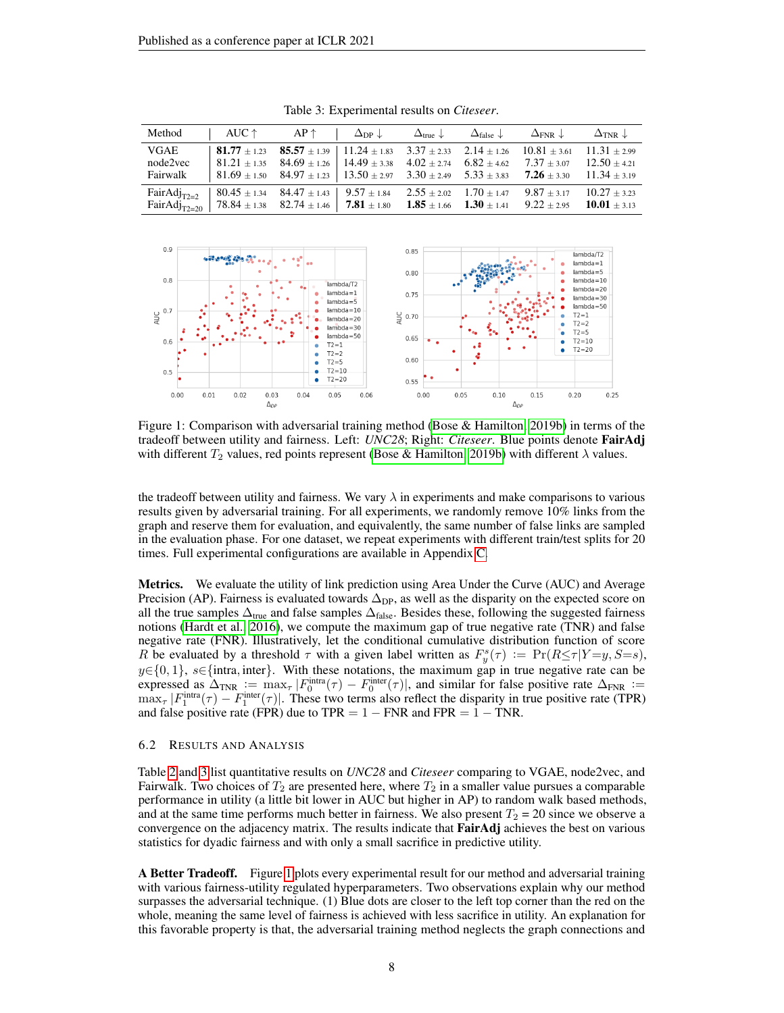<span id="page-7-0"></span>

| Method AUC $\uparrow$ AP $\uparrow$ $\Delta_{\text{DP}} \downarrow$ $\Delta_{\text{true}} \downarrow$ $\Delta_{\text{false}} \downarrow$ $\Delta_{\text{FNR}} \downarrow$ $\Delta_{\text{TNR}} \downarrow$                                                                                 |                                                                                                                                                                                                                                                                                                                                                                                      |  |  |  |
|--------------------------------------------------------------------------------------------------------------------------------------------------------------------------------------------------------------------------------------------------------------------------------------------|--------------------------------------------------------------------------------------------------------------------------------------------------------------------------------------------------------------------------------------------------------------------------------------------------------------------------------------------------------------------------------------|--|--|--|
| VGAE<br>node2vec<br>Fairwalk                                                                                                                                                                                                                                                               | <b>81.77</b> $\pm$ 1.23 <b>85.57</b> $\pm$ 1.39   11.24 $\pm$ 1.83 3.37 $\pm$ 2.33 2.14 $\pm$ 1.26 10.81 $\pm$ 3.61 11.31 $\pm$ 2.99<br>$1.81.21 \pm 1.35$ $84.69 \pm 1.26$ $14.49 \pm 3.38$ $4.02 \pm 2.74$ $6.82 \pm 4.62$ $7.37 \pm 3.07$ $12.50 \pm 4.21$<br>$\frac{1}{2}$ 81.69 ± 1.50 84.97 ± 1.23 $\frac{1}{3}$ 13.50 ± 2.97 3.30 ± 2.49 5.33 ± 3.83 7.26 ± 3.30 11.34 ± 3.19 |  |  |  |
| FairAdj <sub>T2=2</sub>   80.45 ± 1.34  84.47 ± 1.43   $9.57 \pm 1.84$ $2.55 \pm 2.02$ $1.70 \pm 1.47$ $9.87 \pm 3.17$ $10.27 \pm 3.23$<br>FairAdj <sub>T2=20</sub>   78.84 ± 1.38 82.74 ± 1.46   <b>7.81</b> ± 1.80 <b>1.85</b> ± 1.66 <b>1.30</b> ± 1.41 9.22 ± 2.95 <b>10.01</b> ± 3.13 |                                                                                                                                                                                                                                                                                                                                                                                      |  |  |  |

Table 3: Experimental results on *Citeseer*.

<span id="page-7-1"></span>

Figure 1: Comparison with adversarial training method [\(Bose & Hamilton, 2019b\)](#page-9-8) in terms of the tradeoff between utility and fairness. Left: *UNC28*; Right: *Citeseer*. Blue points denote FairAdj with different  $T_2$  values, red points represent [\(Bose & Hamilton, 2019b\)](#page-9-8) with different  $\lambda$  values.

the tradeoff between utility and fairness. We vary  $\lambda$  in experiments and make comparisons to various results given by adversarial training. For all experiments, we randomly remove 10% links from the graph and reserve them for evaluation, and equivalently, the same number of false links are sampled in the evaluation phase. For one dataset, we repeat experiments with different train/test splits for 20 times. Full experimental configurations are available in Appendix [C.](#page-15-1)

**Metrics.** We evaluate the utility of link prediction using Area Under the Curve (AUC) and Average Precision (AP). Fairness is evaluated towards  $\Delta_{\text{DP}}$ , as well as the disparity on the expected score on all the true samples  $\Delta_{true}$  and false samples  $\Delta_{false}$ . Besides these, following the suggested fairness notions [\(Hardt et al., 2016\)](#page-9-17), we compute the maximum gap of true negative rate (TNR) and false negative rate (FNR). Illustratively, let the conditional cumulative distribution function of score R be evaluated by a threshold  $\tau$  with a given label written as  $F_y^s(\tau) := \Pr(R \leq \tau | Y = y, S = s)$ ,  $y \in \{0, 1\}$ ,  $s \in \{\text{intra}, \text{inter}\}.$  With these notations, the maximum gap in true negative rate can be expressed as  $\Delta_{TNR} := \max_{\tau} |F_0^{\text{intra}}(\tau) - F_0^{\text{inter}}(\tau)|$ , and similar for false positive rate  $\Delta_{FNR} :=$  $\max_{\tau} |F_1^{\text{intra}}(\tau) - F_1^{\text{inter}}(\tau)|$ . These two terms also reflect the disparity in true positive rate (TPR) and false positive rate (FPR) due to TPR =  $1 - FNR$  and FPR =  $1 - TNR$ .

#### 6.2 RESULTS AND ANALYSIS

Table [2](#page-6-2) and [3](#page-7-0) list quantitative results on *UNC28* and *Citeseer* comparing to VGAE, node2vec, and Fairwalk. Two choices of  $T_2$  are presented here, where  $T_2$  in a smaller value pursues a comparable performance in utility (a little bit lower in AUC but higher in AP) to random walk based methods, and at the same time performs much better in fairness. We also present  $T_2 = 20$  since we observe a convergence on the adjacency matrix. The results indicate that FairAdj achieves the best on various statistics for dyadic fairness and with only a small sacrifice in predictive utility.

A Better Tradeoff. Figure [1](#page-7-1) plots every experimental result for our method and adversarial training with various fairness-utility regulated hyperparameters. Two observations explain why our method surpasses the adversarial technique. (1) Blue dots are closer to the left top corner than the red on the whole, meaning the same level of fairness is achieved with less sacrifice in utility. An explanation for this favorable property is that, the adversarial training method neglects the graph connections and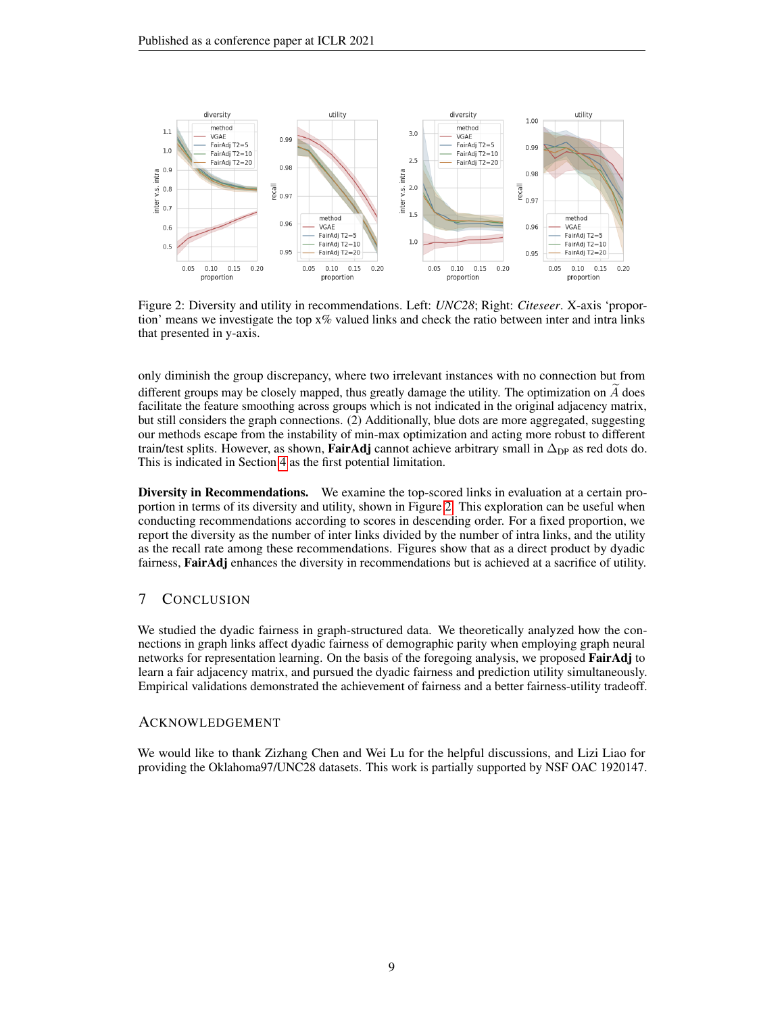<span id="page-8-0"></span>

Figure 2: Diversity and utility in recommendations. Left: *UNC28*; Right: *Citeseer*. X-axis 'proportion' means we investigate the top  $x\%$  valued links and check the ratio between inter and intra links that presented in y-axis.

only diminish the group discrepancy, where two irrelevant instances with no connection but from different groups may be closely mapped, thus greatly damage the utility. The optimization on  $A$  does facilitate the feature smoothing across groups which is not indicated in the original adjacency matrix, but still considers the graph connections. (2) Additionally, blue dots are more aggregated, suggesting our methods escape from the instability of min-max optimization and acting more robust to different train/test splits. However, as shown, **FairAdj** cannot achieve arbitrary small in  $\Delta_{\text{DP}}$  as red dots do. This is indicated in Section [4](#page-2-1) as the first potential limitation.

Diversity in Recommendations. We examine the top-scored links in evaluation at a certain proportion in terms of its diversity and utility, shown in Figure [2.](#page-8-0) This exploration can be useful when conducting recommendations according to scores in descending order. For a fixed proportion, we report the diversity as the number of inter links divided by the number of intra links, and the utility as the recall rate among these recommendations. Figures show that as a direct product by dyadic fairness, **FairAdj** enhances the diversity in recommendations but is achieved at a sacrifice of utility.

# 7 CONCLUSION

We studied the dyadic fairness in graph-structured data. We theoretically analyzed how the connections in graph links affect dyadic fairness of demographic parity when employing graph neural networks for representation learning. On the basis of the foregoing analysis, we proposed **FairAdj** to learn a fair adjacency matrix, and pursued the dyadic fairness and prediction utility simultaneously. Empirical validations demonstrated the achievement of fairness and a better fairness-utility tradeoff.

### ACKNOWLEDGEMENT

We would like to thank Zizhang Chen and Wei Lu for the helpful discussions, and Lizi Liao for providing the Oklahoma97/UNC28 datasets. This work is partially supported by NSF OAC 1920147.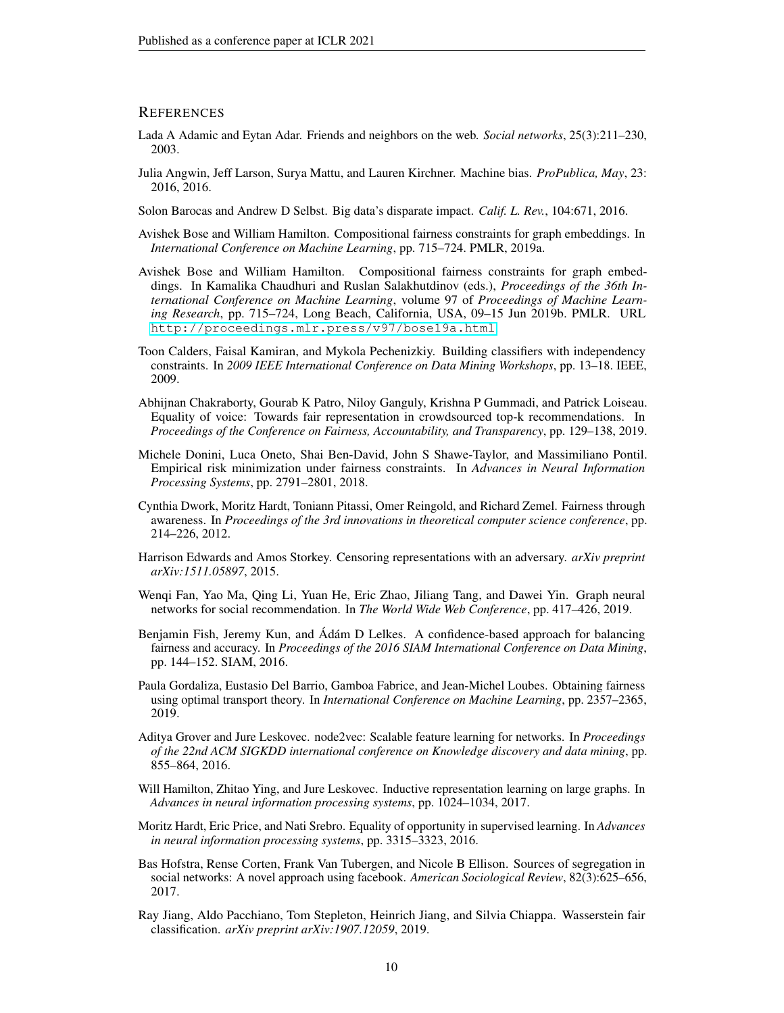### **REFERENCES**

- <span id="page-9-0"></span>Lada A Adamic and Eytan Adar. Friends and neighbors on the web. *Social networks*, 25(3):211–230, 2003.
- <span id="page-9-1"></span>Julia Angwin, Jeff Larson, Surya Mattu, and Lauren Kirchner. Machine bias. *ProPublica, May*, 23: 2016, 2016.

<span id="page-9-2"></span>Solon Barocas and Andrew D Selbst. Big data's disparate impact. *Calif. L. Rev.*, 104:671, 2016.

- <span id="page-9-3"></span>Avishek Bose and William Hamilton. Compositional fairness constraints for graph embeddings. In *International Conference on Machine Learning*, pp. 715–724. PMLR, 2019a.
- <span id="page-9-8"></span>Avishek Bose and William Hamilton. Compositional fairness constraints for graph embeddings. In Kamalika Chaudhuri and Ruslan Salakhutdinov (eds.), *Proceedings of the 36th International Conference on Machine Learning*, volume 97 of *Proceedings of Machine Learning Research*, pp. 715–724, Long Beach, California, USA, 09–15 Jun 2019b. PMLR. URL <http://proceedings.mlr.press/v97/bose19a.html>.
- <span id="page-9-10"></span>Toon Calders, Faisal Kamiran, and Mykola Pechenizkiy. Building classifiers with independency constraints. In *2009 IEEE International Conference on Data Mining Workshops*, pp. 13–18. IEEE, 2009.
- <span id="page-9-16"></span>Abhijnan Chakraborty, Gourab K Patro, Niloy Ganguly, Krishna P Gummadi, and Patrick Loiseau. Equality of voice: Towards fair representation in crowdsourced top-k recommendations. In *Proceedings of the Conference on Fairness, Accountability, and Transparency*, pp. 129–138, 2019.
- <span id="page-9-14"></span>Michele Donini, Luca Oneto, Shai Ben-David, John S Shawe-Taylor, and Massimiliano Pontil. Empirical risk minimization under fairness constraints. In *Advances in Neural Information Processing Systems*, pp. 2791–2801, 2018.
- <span id="page-9-6"></span>Cynthia Dwork, Moritz Hardt, Toniann Pitassi, Omer Reingold, and Richard Zemel. Fairness through awareness. In *Proceedings of the 3rd innovations in theoretical computer science conference*, pp. 214–226, 2012.
- <span id="page-9-11"></span>Harrison Edwards and Amos Storkey. Censoring representations with an adversary. *arXiv preprint arXiv:1511.05897*, 2015.
- <span id="page-9-5"></span>Wenqi Fan, Yao Ma, Qing Li, Yuan He, Eric Zhao, Jiliang Tang, and Dawei Yin. Graph neural networks for social recommendation. In *The World Wide Web Conference*, pp. 417–426, 2019.
- <span id="page-9-9"></span>Benjamin Fish, Jeremy Kun, and Ádám D Lelkes. A confidence-based approach for balancing fairness and accuracy. In *Proceedings of the 2016 SIAM International Conference on Data Mining*, pp. 144–152. SIAM, 2016.
- <span id="page-9-12"></span>Paula Gordaliza, Eustasio Del Barrio, Gamboa Fabrice, and Jean-Michel Loubes. Obtaining fairness using optimal transport theory. In *International Conference on Machine Learning*, pp. 2357–2365, 2019.
- <span id="page-9-7"></span>Aditya Grover and Jure Leskovec. node2vec: Scalable feature learning for networks. In *Proceedings of the 22nd ACM SIGKDD international conference on Knowledge discovery and data mining*, pp. 855–864, 2016.
- <span id="page-9-15"></span>Will Hamilton, Zhitao Ying, and Jure Leskovec. Inductive representation learning on large graphs. In *Advances in neural information processing systems*, pp. 1024–1034, 2017.
- <span id="page-9-17"></span>Moritz Hardt, Eric Price, and Nati Srebro. Equality of opportunity in supervised learning. In *Advances in neural information processing systems*, pp. 3315–3323, 2016.
- <span id="page-9-4"></span>Bas Hofstra, Rense Corten, Frank Van Tubergen, and Nicole B Ellison. Sources of segregation in social networks: A novel approach using facebook. *American Sociological Review*, 82(3):625–656, 2017.
- <span id="page-9-13"></span>Ray Jiang, Aldo Pacchiano, Tom Stepleton, Heinrich Jiang, and Silvia Chiappa. Wasserstein fair classification. *arXiv preprint arXiv:1907.12059*, 2019.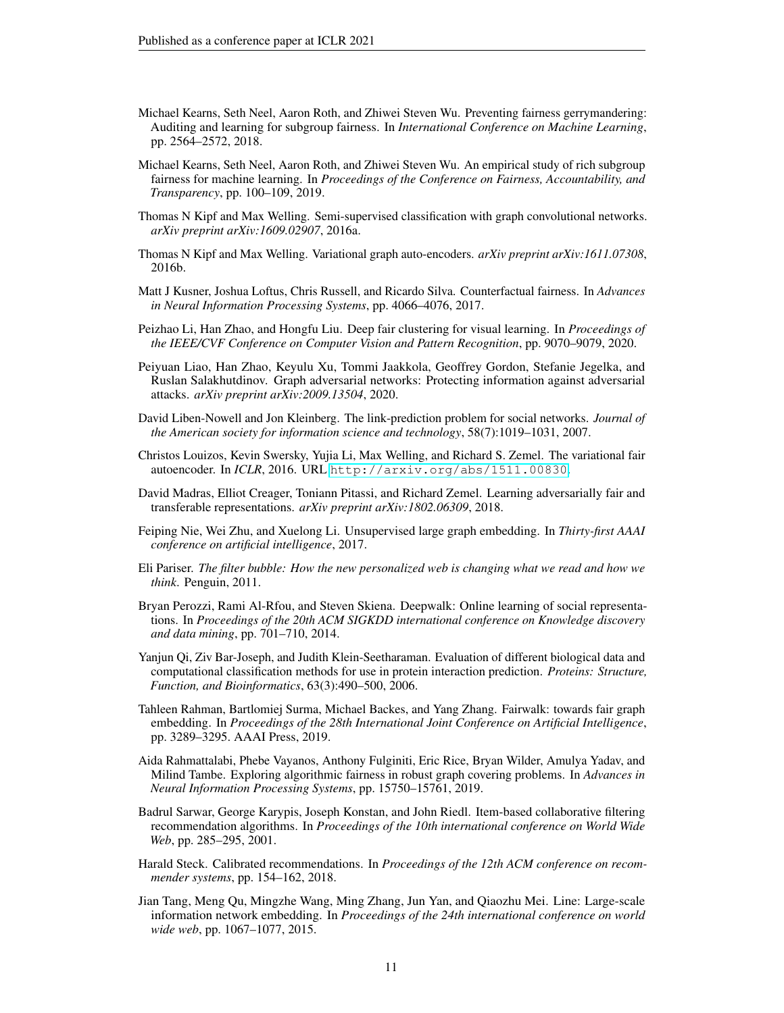- <span id="page-10-9"></span>Michael Kearns, Seth Neel, Aaron Roth, and Zhiwei Steven Wu. Preventing fairness gerrymandering: Auditing and learning for subgroup fairness. In *International Conference on Machine Learning*, pp. 2564–2572, 2018.
- <span id="page-10-10"></span>Michael Kearns, Seth Neel, Aaron Roth, and Zhiwei Steven Wu. An empirical study of rich subgroup fairness for machine learning. In *Proceedings of the Conference on Fairness, Accountability, and Transparency*, pp. 100–109, 2019.
- <span id="page-10-16"></span>Thomas N Kipf and Max Welling. Semi-supervised classification with graph convolutional networks. *arXiv preprint arXiv:1609.02907*, 2016a.
- <span id="page-10-7"></span>Thomas N Kipf and Max Welling. Variational graph auto-encoders. *arXiv preprint arXiv:1611.07308*, 2016b.
- <span id="page-10-6"></span>Matt J Kusner, Joshua Loftus, Chris Russell, and Ricardo Silva. Counterfactual fairness. In *Advances in Neural Information Processing Systems*, pp. 4066–4076, 2017.
- <span id="page-10-5"></span>Peizhao Li, Han Zhao, and Hongfu Liu. Deep fair clustering for visual learning. In *Proceedings of the IEEE/CVF Conference on Computer Vision and Pattern Recognition*, pp. 9070–9079, 2020.
- <span id="page-10-3"></span>Peiyuan Liao, Han Zhao, Keyulu Xu, Tommi Jaakkola, Geoffrey Gordon, Stefanie Jegelka, and Ruslan Salakhutdinov. Graph adversarial networks: Protecting information against adversarial attacks. *arXiv preprint arXiv:2009.13504*, 2020.
- <span id="page-10-0"></span>David Liben-Nowell and Jon Kleinberg. The link-prediction problem for social networks. *Journal of the American society for information science and technology*, 58(7):1019–1031, 2007.
- <span id="page-10-12"></span>Christos Louizos, Kevin Swersky, Yujia Li, Max Welling, and Richard S. Zemel. The variational fair autoencoder. In *ICLR*, 2016. URL <http://arxiv.org/abs/1511.00830>.
- <span id="page-10-11"></span>David Madras, Elliot Creager, Toniann Pitassi, and Richard Zemel. Learning adversarially fair and transferable representations. *arXiv preprint arXiv:1802.06309*, 2018.
- <span id="page-10-15"></span>Feiping Nie, Wei Zhu, and Xuelong Li. Unsupervised large graph embedding. In *Thirty-first AAAI conference on artificial intelligence*, 2017.
- <span id="page-10-4"></span>Eli Pariser. *The filter bubble: How the new personalized web is changing what we read and how we think*. Penguin, 2011.
- <span id="page-10-14"></span>Bryan Perozzi, Rami Al-Rfou, and Steven Skiena. Deepwalk: Online learning of social representations. In *Proceedings of the 20th ACM SIGKDD international conference on Knowledge discovery and data mining*, pp. 701–710, 2014.
- <span id="page-10-2"></span>Yanjun Qi, Ziv Bar-Joseph, and Judith Klein-Seetharaman. Evaluation of different biological data and computational classification methods for use in protein interaction prediction. *Proteins: Structure, Function, and Bioinformatics*, 63(3):490–500, 2006.
- <span id="page-10-8"></span>Tahleen Rahman, Bartlomiej Surma, Michael Backes, and Yang Zhang. Fairwalk: towards fair graph embedding. In *Proceedings of the 28th International Joint Conference on Artificial Intelligence*, pp. 3289–3295. AAAI Press, 2019.
- <span id="page-10-18"></span>Aida Rahmattalabi, Phebe Vayanos, Anthony Fulginiti, Eric Rice, Bryan Wilder, Amulya Yadav, and Milind Tambe. Exploring algorithmic fairness in robust graph covering problems. In *Advances in Neural Information Processing Systems*, pp. 15750–15761, 2019.
- <span id="page-10-1"></span>Badrul Sarwar, George Karypis, Joseph Konstan, and John Riedl. Item-based collaborative filtering recommendation algorithms. In *Proceedings of the 10th international conference on World Wide Web*, pp. 285–295, 2001.
- <span id="page-10-17"></span>Harald Steck. Calibrated recommendations. In *Proceedings of the 12th ACM conference on recommender systems*, pp. 154–162, 2018.
- <span id="page-10-13"></span>Jian Tang, Meng Qu, Mingzhe Wang, Ming Zhang, Jun Yan, and Qiaozhu Mei. Line: Large-scale information network embedding. In *Proceedings of the 24th international conference on world wide web*, pp. 1067–1077, 2015.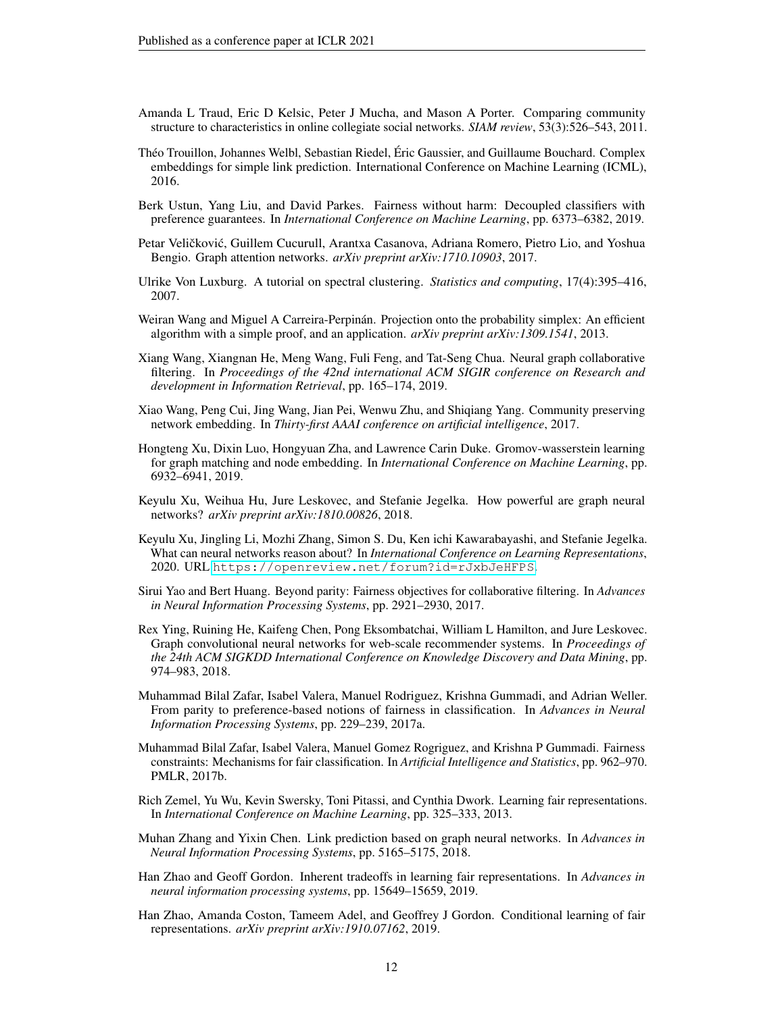- <span id="page-11-18"></span>Amanda L Traud, Eric D Kelsic, Peter J Mucha, and Mason A Porter. Comparing community structure to characteristics in online collegiate social networks. *SIAM review*, 53(3):526–543, 2011.
- <span id="page-11-16"></span>Théo Trouillon, Johannes Welbl, Sebastian Riedel, Éric Gaussier, and Guillaume Bouchard. Complex embeddings for simple link prediction. International Conference on Machine Learning (ICML), 2016.
- <span id="page-11-6"></span>Berk Ustun, Yang Liu, and David Parkes. Fairness without harm: Decoupled classifiers with preference guarantees. In *International Conference on Machine Learning*, pp. 6373–6382, 2019.
- <span id="page-11-14"></span>Petar Veličković, Guillem Cucurull, Arantxa Casanova, Adriana Romero, Pietro Lio, and Yoshua Bengio. Graph attention networks. *arXiv preprint arXiv:1710.10903*, 2017.
- <span id="page-11-10"></span>Ulrike Von Luxburg. A tutorial on spectral clustering. *Statistics and computing*, 17(4):395–416, 2007.
- <span id="page-11-17"></span>Weiran Wang and Miguel A Carreira-Perpinán. Projection onto the probability simplex: An efficient algorithm with a simple proof, and an application. *arXiv preprint arXiv:1309.1541*, 2013.
- <span id="page-11-3"></span>Xiang Wang, Xiangnan He, Meng Wang, Fuli Feng, and Tat-Seng Chua. Neural graph collaborative filtering. In *Proceedings of the 42nd international ACM SIGIR conference on Research and development in Information Retrieval*, pp. 165–174, 2019.
- <span id="page-11-12"></span>Xiao Wang, Peng Cui, Jing Wang, Jian Pei, Wenwu Zhu, and Shiqiang Yang. Community preserving network embedding. In *Thirty-first AAAI conference on artificial intelligence*, 2017.
- <span id="page-11-11"></span>Hongteng Xu, Dixin Luo, Hongyuan Zha, and Lawrence Carin Duke. Gromov-wasserstein learning for graph matching and node embedding. In *International Conference on Machine Learning*, pp. 6932–6941, 2019.
- <span id="page-11-0"></span>Keyulu Xu, Weihua Hu, Jure Leskovec, and Stefanie Jegelka. How powerful are graph neural networks? *arXiv preprint arXiv:1810.00826*, 2018.
- <span id="page-11-1"></span>Keyulu Xu, Jingling Li, Mozhi Zhang, Simon S. Du, Ken ichi Kawarabayashi, and Stefanie Jegelka. What can neural networks reason about? In *International Conference on Learning Representations*, 2020. URL <https://openreview.net/forum?id=rJxbJeHFPS>.
- <span id="page-11-15"></span>Sirui Yao and Bert Huang. Beyond parity: Fairness objectives for collaborative filtering. In *Advances in Neural Information Processing Systems*, pp. 2921–2930, 2017.
- <span id="page-11-2"></span>Rex Ying, Ruining He, Kaifeng Chen, Pong Eksombatchai, William L Hamilton, and Jure Leskovec. Graph convolutional neural networks for web-scale recommender systems. In *Proceedings of the 24th ACM SIGKDD International Conference on Knowledge Discovery and Data Mining*, pp. 974–983, 2018.
- <span id="page-11-5"></span>Muhammad Bilal Zafar, Isabel Valera, Manuel Rodriguez, Krishna Gummadi, and Adrian Weller. From parity to preference-based notions of fairness in classification. In *Advances in Neural Information Processing Systems*, pp. 229–239, 2017a.
- <span id="page-11-9"></span>Muhammad Bilal Zafar, Isabel Valera, Manuel Gomez Rogriguez, and Krishna P Gummadi. Fairness constraints: Mechanisms for fair classification. In *Artificial Intelligence and Statistics*, pp. 962–970. PMLR, 2017b.
- <span id="page-11-7"></span>Rich Zemel, Yu Wu, Kevin Swersky, Toni Pitassi, and Cynthia Dwork. Learning fair representations. In *International Conference on Machine Learning*, pp. 325–333, 2013.
- <span id="page-11-13"></span>Muhan Zhang and Yixin Chen. Link prediction based on graph neural networks. In *Advances in Neural Information Processing Systems*, pp. 5165–5175, 2018.
- <span id="page-11-4"></span>Han Zhao and Geoff Gordon. Inherent tradeoffs in learning fair representations. In *Advances in neural information processing systems*, pp. 15649–15659, 2019.
- <span id="page-11-8"></span>Han Zhao, Amanda Coston, Tameem Adel, and Geoffrey J Gordon. Conditional learning of fair representations. *arXiv preprint arXiv:1910.07162*, 2019.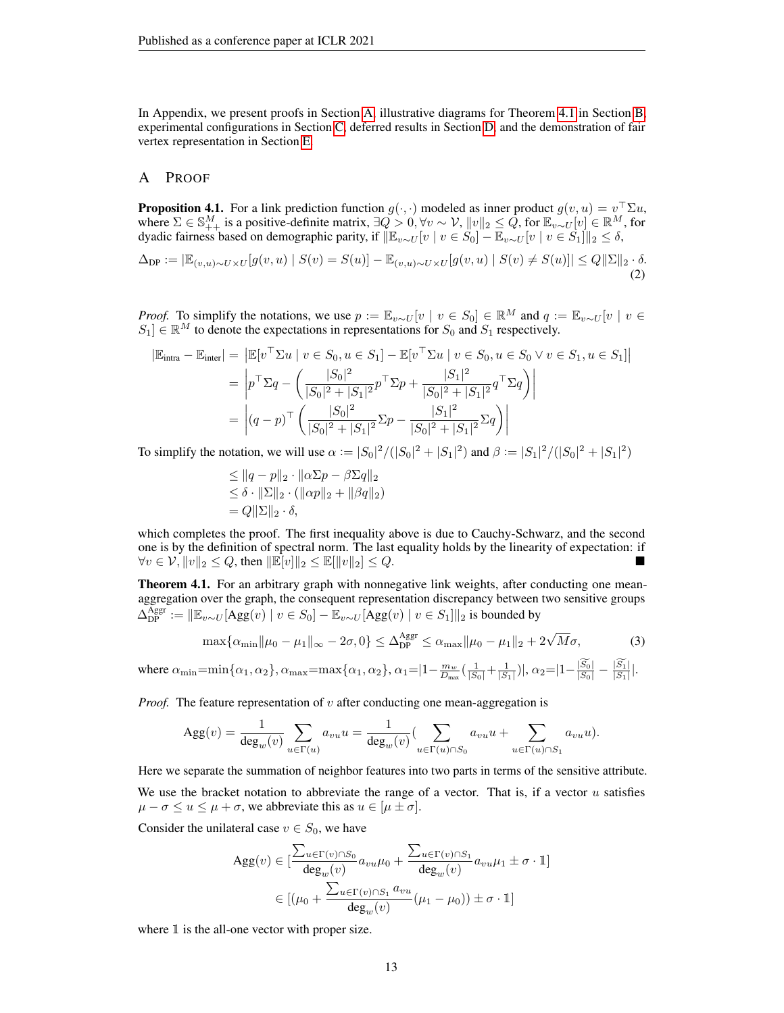In Appendix, we present proofs in Section [A,](#page-12-0) illustrative diagrams for Theorem [4.1](#page-3-1) in Section [B,](#page-14-0) experimental configurations in Section [C,](#page-15-1) deferred results in Section [D,](#page-15-0) and the demonstration of fair vertex representation in Section [E.](#page-17-0)

### <span id="page-12-0"></span>A PROOF

**Proposition 4.1.** For a link prediction function  $g(\cdot, \cdot)$  modeled as inner product  $g(v, u) = v^{\top} \Sigma u$ , where  $\Sigma \in \mathbb{S}^M_{++}$  is a positive-definite matrix,  $\exists Q > 0, \forall v \sim \mathcal{V}$ ,  $||v||_2 \leq Q$ , for  $\mathbb{E}_{v \sim U}[v] \in \mathbb{R}^M$ , for dyadic fairness based on demographic parity, if  $\|\mathbb{E}_{v\sim U} [v\mid v\in S_0] - \overline{\mathbb{E}}_{v\sim U} [v\mid v\in S_1]\|_2 \leq \delta,$ 

$$
\Delta_{\text{DP}} := |\mathbb{E}_{(v,u)\sim U\times U}[g(v,u) \mid S(v) = S(u)] - \mathbb{E}_{(v,u)\sim U\times U}[g(v,u) \mid S(v) \neq S(u)]| \leq Q||\Sigma||_2 \cdot \delta. \tag{2}
$$

*Proof.* To simplify the notations, we use  $p := \mathbb{E}_{v \sim U}[v \mid v \in S_0] \in \mathbb{R}^M$  and  $q := \mathbb{E}_{v \sim U}[v \mid v \in S_0]$  $S_1$   $\in \mathbb{R}^M$  to denote the expectations in representations for  $S_0$  and  $S_1$  respectively.

$$
|\mathbb{E}_{\text{intra}} - \mathbb{E}_{\text{inter}}| = |\mathbb{E}[v^\top \Sigma u \mid v \in S_0, u \in S_1] - \mathbb{E}[v^\top \Sigma u \mid v \in S_0, u \in S_0 \lor v \in S_1, u \in S_1]|
$$
  
= 
$$
\left| p^\top \Sigma q - \left( \frac{|S_0|^2}{|S_0|^2 + |S_1|^2} p^\top \Sigma p + \frac{|S_1|^2}{|S_0|^2 + |S_1|^2} q^\top \Sigma q \right) \right|
$$
  
= 
$$
\left| (q - p)^\top \left( \frac{|S_0|^2}{|S_0|^2 + |S_1|^2} \Sigma p - \frac{|S_1|^2}{|S_0|^2 + |S_1|^2} \Sigma q \right) \right|
$$

To simplify the notation, we will use  $\alpha := |S_0|^2 / (|S_0|^2 + |S_1|^2)$  and  $\beta := |S_1|^2 / (|S_0|^2 + |S_1|^2)$ 

$$
\leq ||q - p||_2 \cdot ||\alpha \Sigma p - \beta \Sigma q||_2
$$
  
\n
$$
\leq \delta \cdot ||\Sigma||_2 \cdot (||\alpha p||_2 + ||\beta q||_2)
$$
  
\n
$$
= Q||\Sigma||_2 \cdot \delta,
$$

which completes the proof. The first inequality above is due to Cauchy-Schwarz, and the second one is by the definition of spectral norm. The last equality holds by the linearity of expectation: if  $\forall v \in \mathcal{V}, ||v||_2 \leq Q$ , then  $||\mathbb{E}[v]||_2 \leq \mathbb{E}[||v||_2] \leq Q$ .

Theorem 4.1. For an arbitrary graph with nonnegative link weights, after conducting one meanaggregation over the graph, the consequent representation discrepancy between two sensitive groups  $\Delta_{\text{DP}}^{\text{Aggr}} := \|\mathbb{E}_{v \sim U}[\text{Agg}(v) \mid v \in S_0] - \mathbb{E}_{v \sim U}[\text{Agg}(v) \mid v \in S_1]\|_2$  is bounded by

$$
\max\{\alpha_{\min} \|\mu_0 - \mu_1\|_{\infty} - 2\sigma, 0\} \le \Delta_{\text{DP}}^{\text{Aggr}} \le \alpha_{\max} \|\mu_0 - \mu_1\|_2 + 2\sqrt{M}\sigma,\tag{3}
$$

where 
$$
\alpha_{\min} = \min{\{\alpha_1, \alpha_2\}}
$$
,  $\alpha_{\max} = \max{\{\alpha_1, \alpha_2\}}$ ,  $\alpha_1 = |1 - \frac{m_w}{D_{\max}}(\frac{1}{|S_0|} + \frac{1}{|S_1|})|$ ,  $\alpha_2 = |1 - \frac{|S_0|}{|S_0|} - \frac{|S_1|}{|S_1|}|$ .

*Proof.* The feature representation of  $v$  after conducting one mean-aggregation is

$$
Agg(v) = \frac{1}{deg_w(v)} \sum_{u \in \Gamma(u)} a_{vu} u = \frac{1}{deg_w(v)} (\sum_{u \in \Gamma(u) \cap S_0} a_{vu} u + \sum_{u \in \Gamma(u) \cap S_1} a_{vu} u).
$$

Here we separate the summation of neighbor features into two parts in terms of the sensitive attribute. We use the bracket notation to abbreviate the range of a vector. That is, if a vector  $u$  satisfies  $\mu - \sigma \le u \le \mu + \sigma$ , we abbreviate this as  $u \in [\mu \pm \sigma]$ .

Consider the unilateral case  $v \in S_0$ , we have

$$
\operatorname{Agg}(v) \in \left[\frac{\sum_{u \in \Gamma(v) \cap S_0} a_{vu} \mu_0 + \frac{\sum_{u \in \Gamma(v) \cap S_1} a_{vu} \mu_1 \pm \sigma \cdot \mathbb{I}}{\deg_w(v)} \right]}{\deg_w(v)} \newline \in \left[ (\mu_0 + \frac{\sum_{u \in \Gamma(v) \cap S_1} a_{vu}}{\deg_w(v)} (\mu_1 - \mu_0)) \pm \sigma \cdot \mathbb{I} \right]
$$

where  $\mathbbm{1}$  is the all-one vector with proper size.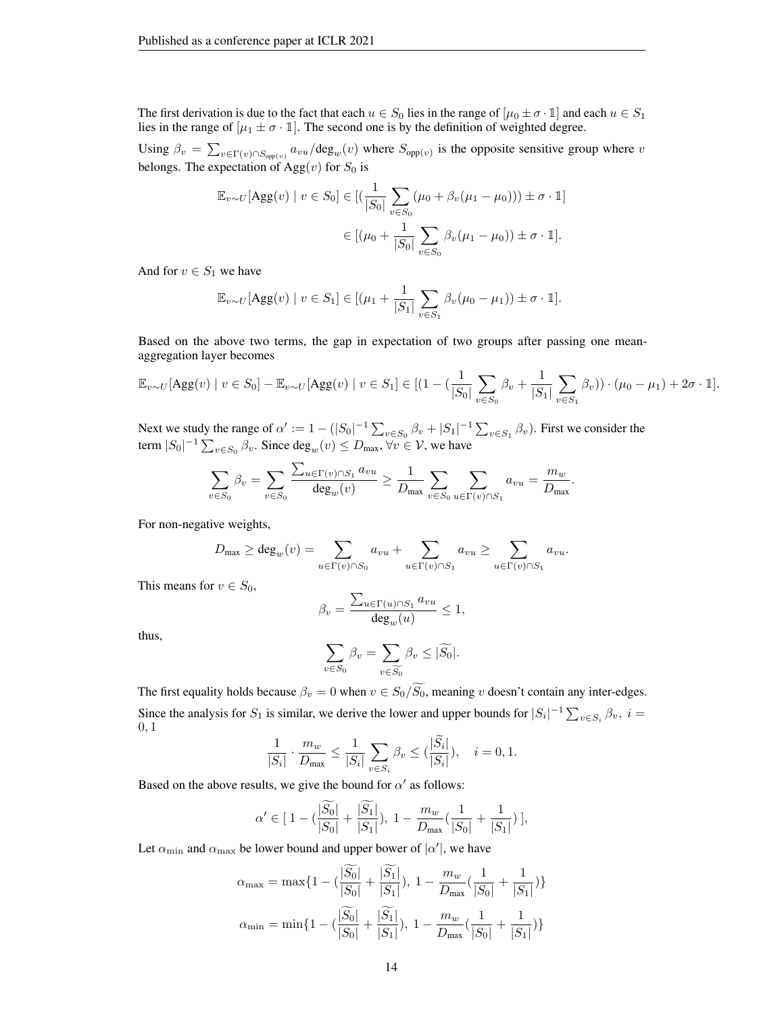The first derivation is due to the fact that each  $u \in S_0$  lies in the range of  $[\mu_0 \pm \sigma \cdot 1]$  and each  $u \in S_1$ lies in the range of  $[\mu_1 \pm \sigma \cdot 1]$ . The second one is by the definition of weighted degree.

Using  $\beta_v = \sum_{v \in \Gamma(v) \cap S_{opp(v)}} a_{vu}/\text{deg}_w(v)$  where  $S_{opp(v)}$  is the opposite sensitive group where v belongs. The expectation of  $\text{Agg}(v)$  for  $S_0$  is

$$
\mathbb{E}_{v \sim U}[\text{Agg}(v) \mid v \in S_0] \in [(\frac{1}{|S_0|} \sum_{v \in S_0} (\mu_0 + \beta_v (\mu_1 - \mu_0))) \pm \sigma \cdot \mathbb{1}]
$$

$$
\in [(\mu_0 + \frac{1}{|S_0|} \sum_{v \in S_0} \beta_v (\mu_1 - \mu_0)) \pm \sigma \cdot \mathbb{1}].
$$

And for  $v \in S_1$  we have

$$
\mathbb{E}_{v \sim U}[\text{Agg}(v) \mid v \in S_1] \in [(\mu_1 + \frac{1}{|S_1|} \sum_{v \in S_1} \beta_v (\mu_0 - \mu_1)) \pm \sigma \cdot \mathbb{1}].
$$

Based on the above two terms, the gap in expectation of two groups after passing one meanaggregation layer becomes

$$
\mathbb{E}_{v \sim U}[\text{Agg}(v) \mid v \in S_0] - \mathbb{E}_{v \sim U}[\text{Agg}(v) \mid v \in S_1] \in [(1 - (\frac{1}{|S_0|} \sum_{v \in S_0} \beta_v + \frac{1}{|S_1|} \sum_{v \in S_1} \beta_v)) \cdot (\mu_0 - \mu_1) + 2\sigma \cdot 1].
$$

.

Next we study the range of  $\alpha' := 1 - (|S_0|^{-1} \sum_{v \in S_0} \beta_v + |S_1|^{-1} \sum_{v \in S_1} \beta_v)$ . First we consider the term  $|S_0|^{-1} \sum_{v \in S_0} \beta_v$ . Since  $deg_w(v) \le D_{\text{max}}$ ,  $\forall v \in V$ , we have

$$
\sum_{v \in S_0} \beta_v = \sum_{v \in S_0} \frac{\sum_{u \in \Gamma(v) \cap S_1} a_{vu}}{\deg_w(v)} \ge \frac{1}{D_{\max}} \sum_{v \in S_0} \sum_{u \in \Gamma(v) \cap S_1} a_{vu} = \frac{m_w}{D_{\max}}
$$

For non-negative weights,

$$
D_{\max} \ge \deg_w(v) = \sum_{u \in \Gamma(v) \cap S_0} a_{vu} + \sum_{u \in \Gamma(v) \cap S_1} a_{vu} \ge \sum_{u \in \Gamma(v) \cap S_1} a_{vu}.
$$

This means for  $v \in S_0$ ,

$$
\beta_v = \frac{\sum_{u \in \Gamma(u) \cap S_1} a_{vu}}{\deg_w(u)} \le 1,
$$

thus,

$$
\sum_{v \in S_0} \beta_v = \sum_{v \in \widetilde{S_0}} \beta_v \le |\widetilde{S_0}|.
$$

The first equality holds because  $\beta_v = 0$  when  $v \in S_0/\widetilde{S_0}$ , meaning v doesn't contain any inter-edges. Since the analysis for  $S_1$  is similar, we derive the lower and upper bounds for  $|S_i|^{-1} \sum_{v \in S_i} \beta_v$ ,  $i =$ 0, 1

$$
\frac{1}{|S_i|} \cdot \frac{m_w}{D_{\text{max}}} \le \frac{1}{|S_i|} \sum_{v \in S_i} \beta_v \le (\frac{|S_i|}{|S_i|}), \quad i = 0, 1.
$$

Based on the above results, we give the bound for  $\alpha'$  as follows:

$$
\alpha'\in [\;1-(\frac{|\widetilde{S_0}|}{|S_0|}+\frac{|\widetilde{S_1}|}{|S_1|}),\;1-\frac{m_w}{D_{\max}}(\frac{1}{|S_0|}+\frac{1}{|S_1|})\;],
$$

Let  $\alpha_{\min}$  and  $\alpha_{\max}$  be lower bound and upper bower of  $|\alpha'|$ , we have

$$
\alpha_{\max} = \max\{1 - (\frac{|\widetilde{S}_0|}{|S_0|} + \frac{|\widetilde{S}_1|}{|S_1|}), 1 - \frac{m_w}{D_{\max}}(\frac{1}{|S_0|} + \frac{1}{|S_1|})\}
$$

$$
\alpha_{\min} = \min\{1 - (\frac{|\widetilde{S}_0|}{|S_0|} + \frac{|\widetilde{S}_1|}{|S_1|}), 1 - \frac{m_w}{D_{\max}}(\frac{1}{|S_0|} + \frac{1}{|S_1|})\}
$$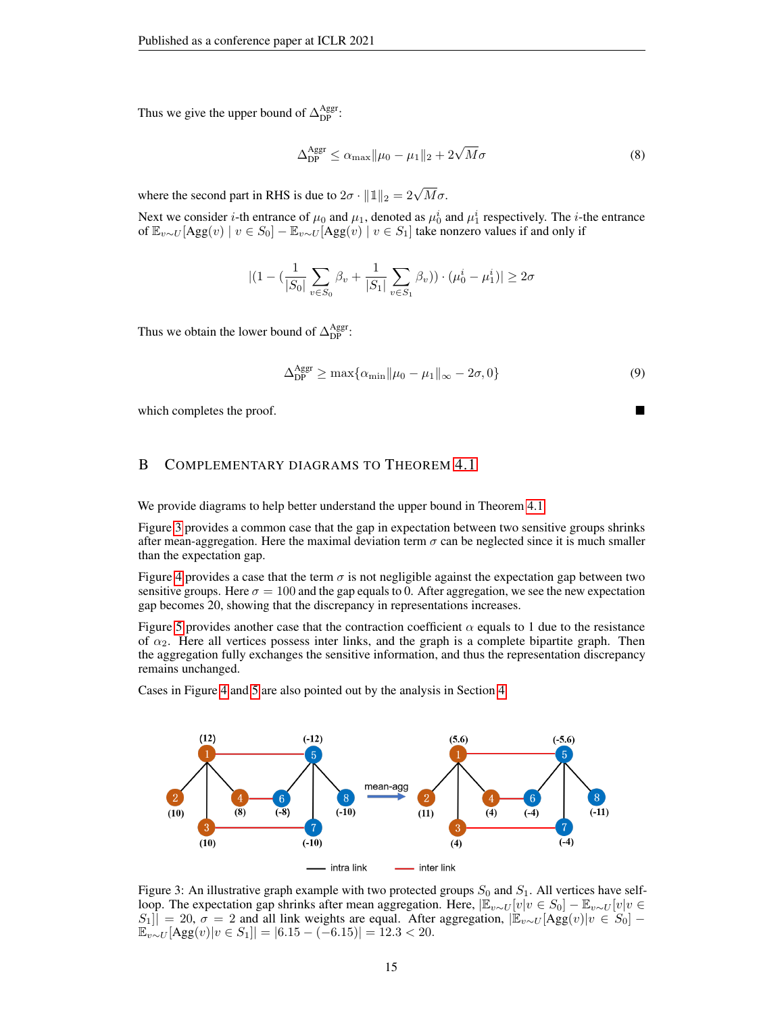Thus we give the upper bound of  $\Delta_{\text{DP}}^{\text{Aggr}}$ :

$$
\Delta_{\rm DP}^{\rm Aggr} \le \alpha_{\rm max} \|\mu_0 - \mu_1\|_2 + 2\sqrt{M}\sigma \tag{8}
$$

where the second part in RHS is due to  $2\sigma \cdot ||\mathbb{1}||_2 = 2\sqrt{M}\sigma$ .

Next we consider *i*-th entrance of  $\mu_0$  and  $\mu_1$ , denoted as  $\mu_0^i$  and  $\mu_1^i$  respectively. The *i*-the entrance of  $\mathbb{E}_{v\sim U}[\text{Agg}(v) \mid v \in S_0] - \mathbb{E}_{v\sim U}[\text{Agg}(v) \mid v \in S_1]$  take nonzero values if and only if

$$
|(1 - (\frac{1}{|S_0|} \sum_{v \in S_0} \beta_v + \frac{1}{|S_1|} \sum_{v \in S_1} \beta_v)) \cdot (\mu_0^i - \mu_1^i)| \ge 2\sigma
$$

Thus we obtain the lower bound of  $\Delta_{\rm DP}^{\rm Aggr}$ :

$$
\Delta_{\rm DP}^{\rm Aggr} \ge \max\{\alpha_{\rm min} \|\mu_0 - \mu_1\|_{\infty} - 2\sigma, 0\} \tag{9}
$$

which completes the proof.

# <span id="page-14-0"></span>B COMPLEMENTARY DIAGRAMS TO THEOREM [4.1](#page-3-1)

We provide diagrams to help better understand the upper bound in Theorem [4.1.](#page-3-1)

Figure [3](#page-14-1) provides a common case that the gap in expectation between two sensitive groups shrinks after mean-aggregation. Here the maximal deviation term  $\sigma$  can be neglected since it is much smaller than the expectation gap.

Figure [4](#page-15-2) provides a case that the term  $\sigma$  is not negligible against the expectation gap between two sensitive groups. Here  $\sigma = 100$  and the gap equals to 0. After aggregation, we see the new expectation gap becomes 20, showing that the discrepancy in representations increases.

Figure [5](#page-15-3) provides another case that the contraction coefficient  $\alpha$  equals to 1 due to the resistance of  $\alpha_2$ . Here all vertices possess inter links, and the graph is a complete bipartite graph. Then the aggregation fully exchanges the sensitive information, and thus the representation discrepancy remains unchanged.

Cases in Figure [4](#page-15-2) and [5](#page-15-3) are also pointed out by the analysis in Section [4.](#page-2-1)

<span id="page-14-1"></span>

Figure 3: An illustrative graph example with two protected groups  $S_0$  and  $S_1$ . All vertices have selfloop. The expectation gap shrinks after mean aggregation. Here,  $\mathbb{E}_{v \sim U}[v|v \in S_0] - \mathbb{E}_{v \sim U}[v|v \in \mathbb{E}_{v \sim U}[v]$  $S_1$ || = 20,  $\sigma = 2$  and all link weights are equal. After aggregation,  $|\mathbb{E}_{v \sim U}[\text{Agg}(v)|v \in S_0]$  –  $\mathbb{E}_{v \sim U}[\text{Agg}(v)|v \in S_1]| = |6.15 - (-6.15)| = 12.3 < 20.$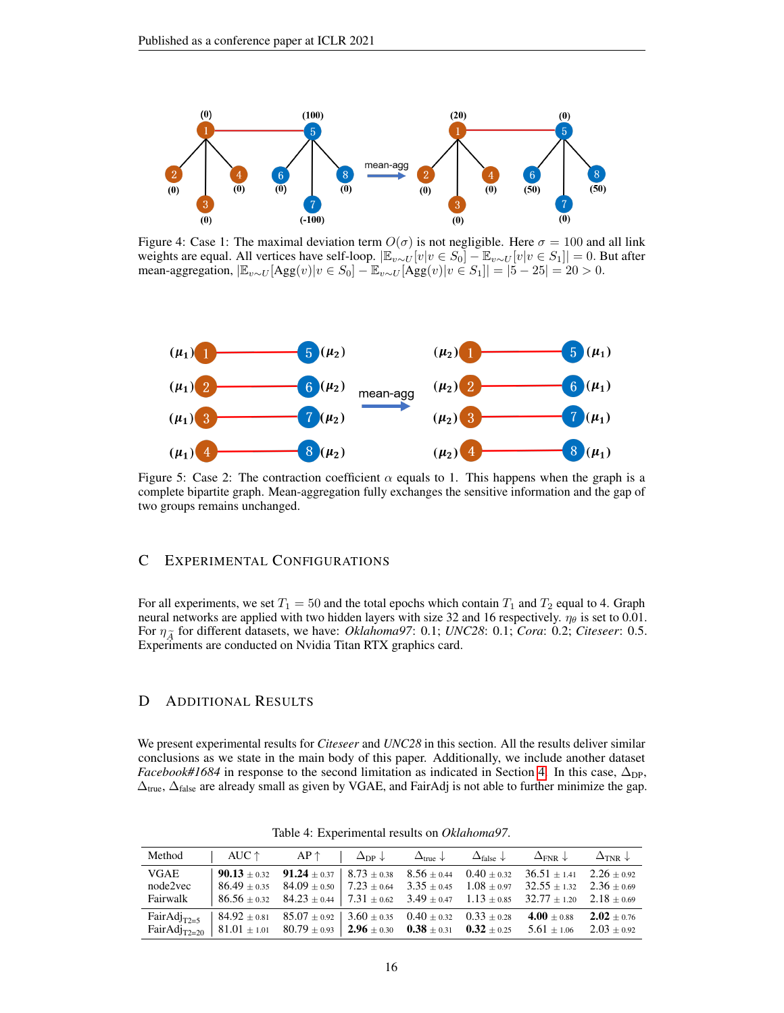<span id="page-15-2"></span>

Figure 4: Case 1: The maximal deviation term  $O(\sigma)$  is not negligible. Here  $\sigma = 100$  and all link weights are equal. All vertices have self-loop.  $|\mathbb{E}_{v \sim U}[v|v \in S_0] - \mathbb{E}_{v \sim U}[v|v \in S_1]| = 0$ . But after mean-aggregation,  $|\mathbb{E}_{v \sim U}[\text{Agg}(v)|v \in S_0] - \mathbb{E}_{v \sim U}[\text{Agg}(v)|v \in S_1]| = |5 - 25| = 20 > 0.$ 

<span id="page-15-3"></span>

Figure 5: Case 2: The contraction coefficient  $\alpha$  equals to 1. This happens when the graph is a complete bipartite graph. Mean-aggregation fully exchanges the sensitive information and the gap of two groups remains unchanged.

# <span id="page-15-1"></span>C EXPERIMENTAL CONFIGURATIONS

For all experiments, we set  $T_1 = 50$  and the total epochs which contain  $T_1$  and  $T_2$  equal to 4. Graph neural networks are applied with two hidden layers with size 32 and 16 respectively.  $\eta_{\theta}$  is set to 0.01. For <sup>η</sup>A<sup>e</sup> for different datasets, we have: *Oklahoma97*: 0.1; *UNC28*: 0.1; *Cora*: 0.2; *Citeseer*: 0.5. Experiments are conducted on Nvidia Titan RTX graphics card.

### <span id="page-15-0"></span>D ADDITIONAL RESULTS

We present experimental results for *Citeseer* and *UNC28* in this section. All the results deliver similar conclusions as we state in the main body of this paper. Additionally, we include another dataset *Facebook#1684* in response to the second limitation as indicated in Section [4.](#page-2-1) In this case,  $\Delta_{\text{DP}}$ ,  $\Delta_{true}$ ,  $\Delta_{false}$  are already small as given by VGAE, and FairAdj is not able to further minimize the gap.

| Method                       | $\vert \quad \text{AUC} \uparrow \qquad \text{AP} \uparrow \quad \vert \quad \Delta_{\text{DP}} \downarrow \qquad \Delta_{\text{true}} \downarrow \qquad \Delta_{\text{false}} \downarrow \qquad \Delta_{\text{FNR}} \downarrow \qquad \Delta_{\text{TNR}} \downarrow$ |                                                                                                                                                                                                                                                          |  |                                 |  |
|------------------------------|------------------------------------------------------------------------------------------------------------------------------------------------------------------------------------------------------------------------------------------------------------------------|----------------------------------------------------------------------------------------------------------------------------------------------------------------------------------------------------------------------------------------------------------|--|---------------------------------|--|
| VGAE<br>node2vec<br>Fairwalk |                                                                                                                                                                                                                                                                        | <b>90.13</b> $\pm$ 0.32 <b>91.24</b> $\pm$ 0.37   8.73 $\pm$ 0.38 8.56 $\pm$ 0.44 0.40 $\pm$ 0.32 36.51 $\pm$ 1.41 2.26 $\pm$ 0.92<br>$86.49 \pm 0.35$ $84.09 \pm 0.50$ $7.23 \pm 0.64$ $3.35 \pm 0.45$ $1.08 \pm 0.97$ $32.55 \pm 1.32$ $2.36 \pm 0.69$ |  |                                 |  |
|                              | FairAdj <sub>T2=5</sub>   $84.92 \pm 0.81$ $85.07 \pm 0.92$   $3.60 \pm 0.35$ $0.40 \pm 0.32$ $0.33 \pm 0.28$<br>FairAdj <sub>T2=20</sub>   81.01 ± 1.01 80.79 ± 0.93   <b>2.96</b> ± 0.30 <b>0.38</b> ± 0.31 <b>0.32</b> ± 0.25 5.61 ± 1.06 2.03 ± 0.92               |                                                                                                                                                                                                                                                          |  | 4.00 $\pm$ 0.88 2.02 $\pm$ 0.76 |  |

Table 4: Experimental results on *Oklahoma97*.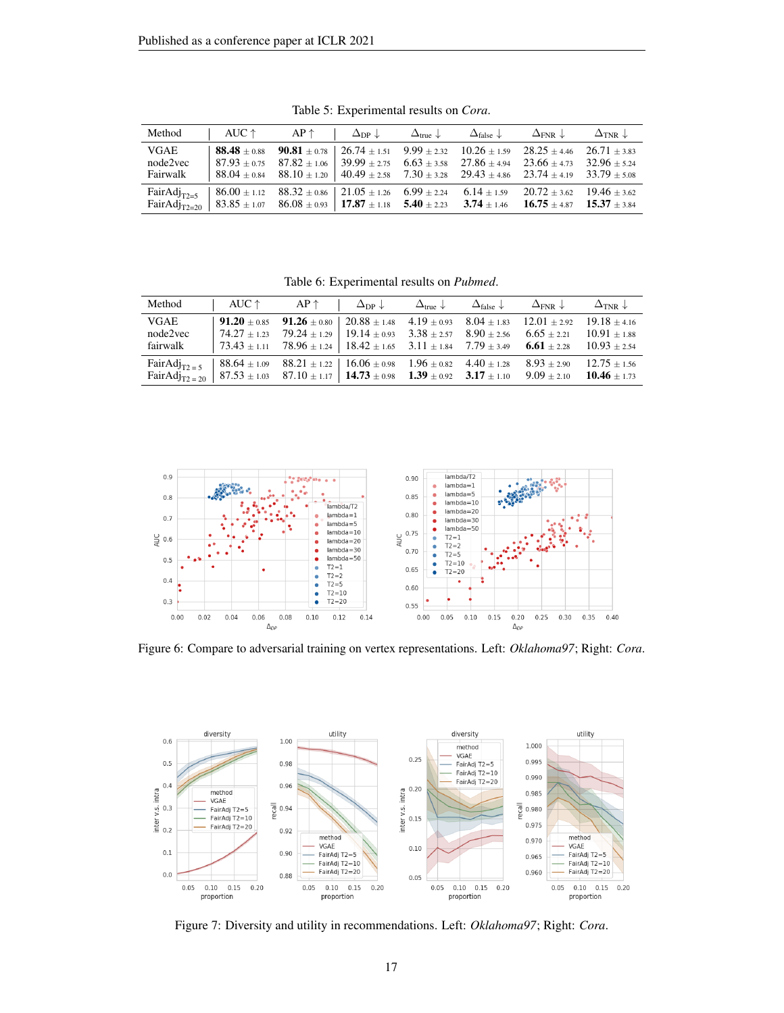| Method                              | AUC $\uparrow$                                                                     | $AP \uparrow$                                                                                                                                                                                                                                                                                                                                                          | $\Delta_{\text{DP}} \downarrow \qquad \Delta_{\text{true}} \downarrow$ | $\Delta_{\text{false}}$ $\downarrow$ $\Delta_{\text{FNR}}$ $\downarrow$ | $\Delta$ tnr J |
|-------------------------------------|------------------------------------------------------------------------------------|------------------------------------------------------------------------------------------------------------------------------------------------------------------------------------------------------------------------------------------------------------------------------------------------------------------------------------------------------------------------|------------------------------------------------------------------------|-------------------------------------------------------------------------|----------------|
| <b>VGAE</b><br>node2vec<br>Fairwalk |                                                                                    | <b>88.48</b> $\pm$ 0.88 <b>90.81</b> $\pm$ 0.78   26.74 $\pm$ 1.51 9.99 $\pm$ 2.32 10.26 $\pm$ 1.59 28.25 $\pm$ 4.46 26.71 $\pm$ 3.83<br>$87.93 \pm 0.75$ $87.82 \pm 1.06$ $39.99 \pm 2.75$ $6.63 \pm 3.58$ $27.86 \pm 4.94$ $23.66 \pm 4.73$<br>$88.04 \pm 0.84$ $88.10 \pm 1.20$ $40.49 \pm 2.58$ $7.30 \pm 3.28$ $29.43 \pm 4.86$ $23.74 \pm 4.19$ $33.79 \pm 5.08$ |                                                                        |                                                                         | $32.96 + 5.24$ |
| $FairAdj_{T2=5}$                    | $88.32 \pm 0.86$ $21.05 \pm 1.26$ 6.99 $\pm$ 2.24 6.14 $\pm$ 1.59 20.72 $\pm$ 3.62 |                                                                                                                                                                                                                                                                                                                                                                        |                                                                        |                                                                         | $19.46 + 3.62$ |

Table 5: Experimental results on *Cora*.

Table 6: Experimental results on *Pubmed*.

| Method      | AUC $\uparrow$                                                                                                                   | $AP \uparrow$ | $\Delta_{\rm DP} \downarrow$                                                                                        | $\Delta_{\text{true}}$ $\downarrow$ $\Delta_{\text{false}}$ $\downarrow$ | $\Delta_{\rm FNR} \downarrow$ | $\Delta$ tnr J   |
|-------------|----------------------------------------------------------------------------------------------------------------------------------|---------------|---------------------------------------------------------------------------------------------------------------------|--------------------------------------------------------------------------|-------------------------------|------------------|
| <b>VGAE</b> |                                                                                                                                  |               | <b>91.20</b> $\pm$ 0.85 <b>91.26</b> $\pm$ 0.80   20.88 $\pm$ 1.48 4.19 $\pm$ 0.93 8.04 $\pm$ 1.83 12.01 $\pm$ 2.92 |                                                                          |                               | $19.18 + 4.16$   |
| node2vec    | $74.27 \pm 1.23$                                                                                                                 |               | $79.24 \pm 1.29$   19.14 $\pm$ 0.93 3.38 $\pm$ 2.57 8.90 $\pm$ 2.56 6.65 $\pm$ 2.21                                 |                                                                          |                               | $10.91 + 1.88$   |
| fairwalk    |                                                                                                                                  |               | $73.43 \pm 1.11$ $78.96 \pm 1.24$ $18.42 \pm 1.65$ $3.11 \pm 1.84$ $7.79 \pm 3.49$ <b>6.61</b> $\pm 2.28$           |                                                                          |                               | $10.93 \pm 2.54$ |
|             | FairAdj <sub>T2=5</sub>   88.64 ± 1.09  88.21 ± 1.22   16.06 ± 0.98  1.96 ± 0.82  4.40 ± 1.28  8.93 ± 2.90                       |               |                                                                                                                     |                                                                          |                               | $12.75 + 1.56$   |
|             | FairAdj <sub>T2 = 20</sub>   87.53 ± 1.03  87.10 ± 1.17   <b>14.73</b> ± 0.98 <b>1.39</b> ± 0.92 <b>3.17</b> ± 1.10  9.09 ± 2.10 |               |                                                                                                                     |                                                                          |                               | $10.46 + 1.73$   |



Figure 6: Compare to adversarial training on vertex representations. Left: *Oklahoma97*; Right: *Cora*.



Figure 7: Diversity and utility in recommendations. Left: *Oklahoma97*; Right: *Cora*.